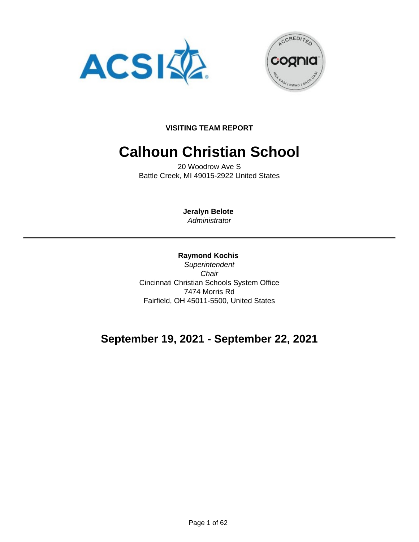



**VISITING TEAM REPORT**

# **Calhoun Christian School**

20 Woodrow Ave S Battle Creek, MI 49015-2922 United States

> **Jeralyn Belote Administrator**

**Raymond Kochis Superintendent Chair** Cincinnati Christian Schools System Office 7474 Morris Rd Fairfield, OH 45011-5500, United States

# **September 19, 2021 - September 22, 2021**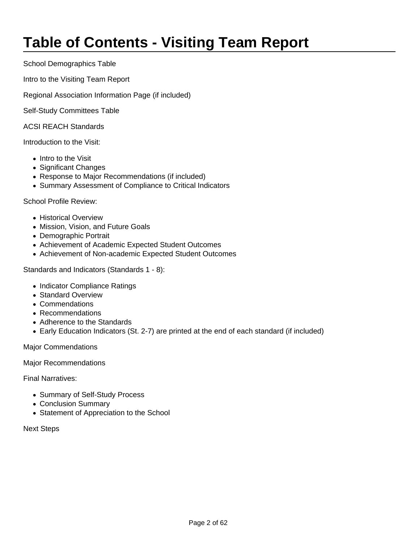# **Table of Contents - Visiting Team Report**

School Demographics Table

Intro to the Visiting Team Report

Regional Association Information Page (if included)

Self-Study Committees Table

ACSI REACH Standards

Introduction to the Visit:

- Intro to the Visit
- Significant Changes
- Response to Major Recommendations (if included)
- Summary Assessment of Compliance to Critical Indicators

School Profile Review:

- Historical Overview
- Mission, Vision, and Future Goals
- Demographic Portrait
- Achievement of Academic Expected Student Outcomes
- Achievement of Non-academic Expected Student Outcomes

Standards and Indicators (Standards 1 - 8):

- Indicator Compliance Ratings
- Standard Overview
- Commendations
- Recommendations
- Adherence to the Standards
- Early Education Indicators (St. 2-7) are printed at the end of each standard (if included)

Major Commendations

Major Recommendations

Final Narratives:

- Summary of Self-Study Process
- Conclusion Summary
- Statement of Appreciation to the School

Next Steps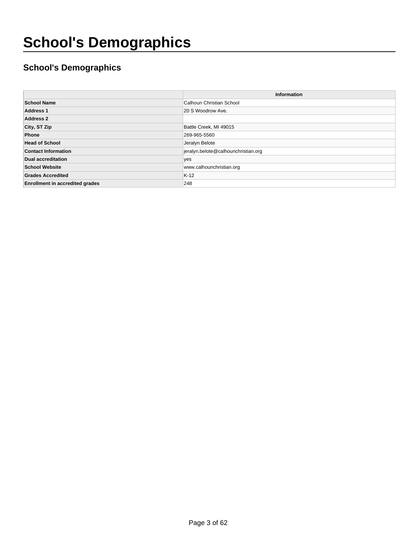# **School's Demographics**

### **School's Demographics**

|                                        | Information                         |
|----------------------------------------|-------------------------------------|
| <b>School Name</b>                     | Calhoun Christian School            |
| <b>Address 1</b>                       | 20 S Woodrow Ave.                   |
| <b>Address 2</b>                       |                                     |
| City, ST Zip                           | Battle Creek, MI 49015              |
| Phone                                  | 269-965-5560                        |
| <b>Head of School</b>                  | Jeralyn Belote                      |
| <b>Contact Information</b>             | jeralyn.belote@calhounchristian.org |
| <b>Dual accreditation</b>              | yes                                 |
| <b>School Website</b>                  | www.calhounchristian.org            |
| <b>Grades Accredited</b>               | $K-12$                              |
| <b>Enrollment in accredited grades</b> | 248                                 |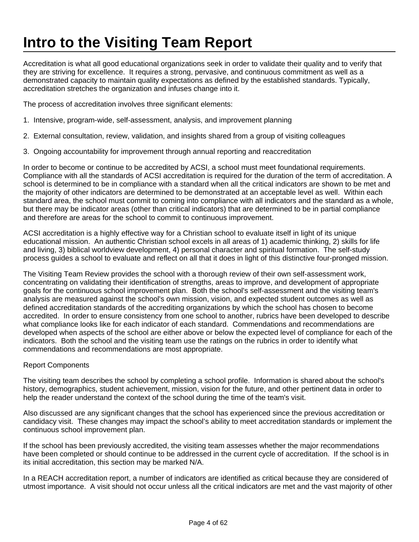# **Intro to the Visiting Team Report**

Accreditation is what all good educational organizations seek in order to validate their quality and to verify that they are striving for excellence. It requires a strong, pervasive, and continuous commitment as well as a demonstrated capacity to maintain quality expectations as defined by the established standards. Typically, accreditation stretches the organization and infuses change into it.

The process of accreditation involves three significant elements:

- 1. Intensive, program-wide, self-assessment, analysis, and improvement planning
- 2. External consultation, review, validation, and insights shared from a group of visiting colleagues
- 3. Ongoing accountability for improvement through annual reporting and reaccreditation

In order to become or continue to be accredited by ACSI, a school must meet foundational requirements. Compliance with all the standards of ACSI accreditation is required for the duration of the term of accreditation. A school is determined to be in compliance with a standard when all the critical indicators are shown to be met and the majority of other indicators are determined to be demonstrated at an acceptable level as well. Within each standard area, the school must commit to coming into compliance with all indicators and the standard as a whole, but there may be indicator areas (other than critical indicators) that are determined to be in partial compliance and therefore are areas for the school to commit to continuous improvement.

ACSI accreditation is a highly effective way for a Christian school to evaluate itself in light of its unique educational mission. An authentic Christian school excels in all areas of 1) academic thinking, 2) skills for life and living, 3) biblical worldview development, 4) personal character and spiritual formation. The self-study process guides a school to evaluate and reflect on all that it does in light of this distinctive four-pronged mission.

The Visiting Team Review provides the school with a thorough review of their own self-assessment work, concentrating on validating their identification of strengths, areas to improve, and development of appropriate goals for the continuous school improvement plan. Both the school's self-assessment and the visiting team's analysis are measured against the school's own mission, vision, and expected student outcomes as well as defined accreditation standards of the accrediting organizations by which the school has chosen to become accredited. In order to ensure consistency from one school to another, rubrics have been developed to describe what compliance looks like for each indicator of each standard. Commendations and recommendations are developed when aspects of the school are either above or below the expected level of compliance for each of the indicators. Both the school and the visiting team use the ratings on the rubrics in order to identify what commendations and recommendations are most appropriate.

#### Report Components

The visiting team describes the school by completing a school profile. Information is shared about the school's history, demographics, student achievement, mission, vision for the future, and other pertinent data in order to help the reader understand the context of the school during the time of the team's visit.

Also discussed are any significant changes that the school has experienced since the previous accreditation or candidacy visit. These changes may impact the school's ability to meet accreditation standards or implement the continuous school improvement plan.

If the school has been previously accredited, the visiting team assesses whether the major recommendations have been completed or should continue to be addressed in the current cycle of accreditation. If the school is in its initial accreditation, this section may be marked N/A.

In a REACH accreditation report, a number of indicators are identified as critical because they are considered of utmost importance. A visit should not occur unless all the critical indicators are met and the vast majority of other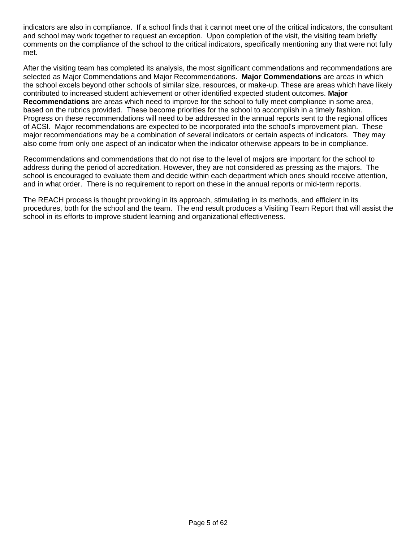indicators are also in compliance. If a school finds that it cannot meet one of the critical indicators, the consultant and school may work together to request an exception. Upon completion of the visit, the visiting team briefly comments on the compliance of the school to the critical indicators, specifically mentioning any that were not fully met.

After the visiting team has completed its analysis, the most significant commendations and recommendations are selected as Major Commendations and Major Recommendations. **Major Commendations** are areas in which the school excels beyond other schools of similar size, resources, or make-up. These are areas which have likely contributed to increased student achievement or other identified expected student outcomes. **Major Recommendations** are areas which need to improve for the school to fully meet compliance in some area, based on the rubrics provided. These become priorities for the school to accomplish in a timely fashion. Progress on these recommendations will need to be addressed in the annual reports sent to the regional offices of ACSI. Major recommendations are expected to be incorporated into the school's improvement plan. These major recommendations may be a combination of several indicators or certain aspects of indicators. They may also come from only one aspect of an indicator when the indicator otherwise appears to be in compliance.

Recommendations and commendations that do not rise to the level of majors are important for the school to address during the period of accreditation. However, they are not considered as pressing as the majors. The school is encouraged to evaluate them and decide within each department which ones should receive attention, and in what order. There is no requirement to report on these in the annual reports or mid-term reports.

The REACH process is thought provoking in its approach, stimulating in its methods, and efficient in its procedures, both for the school and the team. The end result produces a Visiting Team Report that will assist the school in its efforts to improve student learning and organizational effectiveness.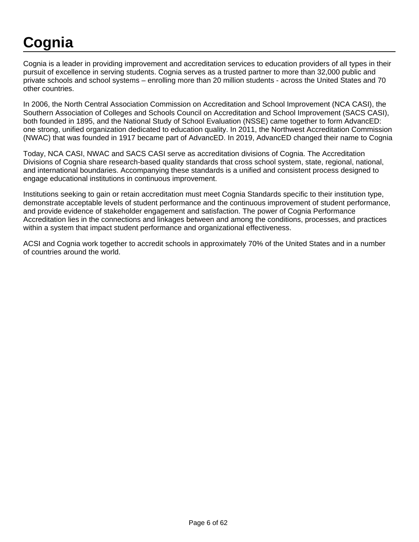# **Cognia**

Cognia is a leader in providing improvement and accreditation services to education providers of all types in their pursuit of excellence in serving students. Cognia serves as a trusted partner to more than 32,000 public and private schools and school systems – enrolling more than 20 million students - across the United States and 70 other countries.

In 2006, the North Central Association Commission on Accreditation and School Improvement (NCA CASI), the Southern Association of Colleges and Schools Council on Accreditation and School Improvement (SACS CASI), both founded in 1895, and the National Study of School Evaluation (NSSE) came together to form AdvancED: one strong, unified organization dedicated to education quality. In 2011, the Northwest Accreditation Commission (NWAC) that was founded in 1917 became part of AdvancED. In 2019, AdvancED changed their name to Cognia

Today, NCA CASI, NWAC and SACS CASI serve as accreditation divisions of Cognia. The Accreditation Divisions of Cognia share research-based quality standards that cross school system, state, regional, national, and international boundaries. Accompanying these standards is a unified and consistent process designed to engage educational institutions in continuous improvement.

Institutions seeking to gain or retain accreditation must meet Cognia Standards specific to their institution type, demonstrate acceptable levels of student performance and the continuous improvement of student performance, and provide evidence of stakeholder engagement and satisfaction. The power of Cognia Performance Accreditation lies in the connections and linkages between and among the conditions, processes, and practices within a system that impact student performance and organizational effectiveness.

ACSI and Cognia work together to accredit schools in approximately 70% of the United States and in a number of countries around the world.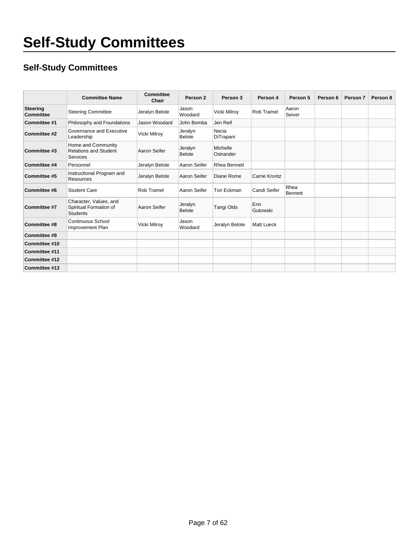### **Self-Study Committees**

|                              | <b>Committee Name</b>                                               | Committee<br>Chair | Person 2                 | Person 3              | Person 4          | Person 5               | Person 6 | Person 7 | Person 8 |
|------------------------------|---------------------------------------------------------------------|--------------------|--------------------------|-----------------------|-------------------|------------------------|----------|----------|----------|
| <b>Steering</b><br>Committee | <b>Steering Committee</b>                                           | Jeralyn Belote     | Jason<br>Woodard         | Vicki Milroy          | Rob Tramel        | Aaron<br>Seiver        |          |          |          |
| Committee #1                 | Philosophy and Foundations                                          | Jason Woodard      | John Bomba               | Jen Reif              |                   |                        |          |          |          |
| Committee #2                 | Governance and Executive<br>Leadership                              | Vicki Milroy       | Jeralyn<br><b>Belote</b> | Necia<br>DiTrapani    |                   |                        |          |          |          |
| Committee #3                 | Home and Community<br><b>Relations and Student</b><br>Services      | Aaron Seifer       | Jeralyn<br><b>Belote</b> | Michelle<br>Ostrander |                   |                        |          |          |          |
| Committee #4                 | Personnel                                                           | Jeralyn Belote     | Aaron Seifer             | <b>Rhea Bennett</b>   |                   |                        |          |          |          |
| Committee #5                 | Instructional Program and<br><b>Resources</b>                       | Jeralyn Belote     | Aaron Seifer             | Diane Rome            | Carrie Krontz     |                        |          |          |          |
| Committee #6                 | <b>Student Care</b>                                                 | Rob Tramel         | Aaron Seifer             | Tori Eckman           | Candi Seifer      | Rhea<br><b>Bennett</b> |          |          |          |
| Committee #7                 | Character, Values, and<br>Spiritual Formation of<br><b>Students</b> | Aaron Seifer       | Jeralyn<br><b>Belote</b> | Tangi Olds            | Erin<br>Gutowski  |                        |          |          |          |
| Committee #8                 | <b>Continuous School</b><br>Improvement Plan                        | Vicki Milroy       | Jason<br>Woodard         | Jeralyn Belote        | <b>Matt Lueck</b> |                        |          |          |          |
| Committee #9                 |                                                                     |                    |                          |                       |                   |                        |          |          |          |
| Committee #10                |                                                                     |                    |                          |                       |                   |                        |          |          |          |
| Committee #11                |                                                                     |                    |                          |                       |                   |                        |          |          |          |
| Committee #12                |                                                                     |                    |                          |                       |                   |                        |          |          |          |
| Committee #13                |                                                                     |                    |                          |                       |                   |                        |          |          |          |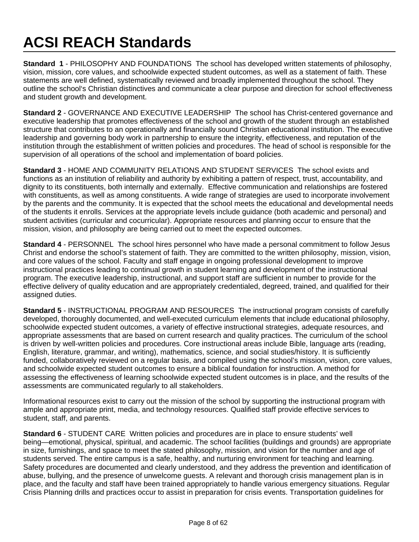# **ACSI REACH Standards**

**Standard 1** - PHILOSOPHY AND FOUNDATIONS The school has developed written statements of philosophy, vision, mission, core values, and schoolwide expected student outcomes, as well as a statement of faith. These statements are well defined, systematically reviewed and broadly implemented throughout the school. They outline the school's Christian distinctives and communicate a clear purpose and direction for school effectiveness and student growth and development.

**Standard 2** - GOVERNANCE AND EXECUTIVE LEADERSHIP The school has Christ-centered governance and executive leadership that promotes effectiveness of the school and growth of the student through an established structure that contributes to an operationally and financially sound Christian educational institution. The executive leadership and governing body work in partnership to ensure the integrity, effectiveness, and reputation of the institution through the establishment of written policies and procedures. The head of school is responsible for the supervision of all operations of the school and implementation of board policies.

**Standard 3** - HOME AND COMMUNITY RELATIONS AND STUDENT SERVICES The school exists and functions as an institution of reliability and authority by exhibiting a pattern of respect, trust, accountability, and dignity to its constituents, both internally and externally. Effective communication and relationships are fostered with constituents, as well as among constituents. A wide range of strategies are used to incorporate involvement by the parents and the community. It is expected that the school meets the educational and developmental needs of the students it enrolls. Services at the appropriate levels include guidance (both academic and personal) and student activities (curricular and cocurricular). Appropriate resources and planning occur to ensure that the mission, vision, and philosophy are being carried out to meet the expected outcomes.

**Standard 4** - PERSONNEL The school hires personnel who have made a personal commitment to follow Jesus Christ and endorse the school's statement of faith. They are committed to the written philosophy, mission, vision, and core values of the school. Faculty and staff engage in ongoing professional development to improve instructional practices leading to continual growth in student learning and development of the instructional program. The executive leadership, instructional, and support staff are sufficient in number to provide for the effective delivery of quality education and are appropriately credentialed, degreed, trained, and qualified for their assigned duties.

**Standard 5** - INSTRUCTIONAL PROGRAM AND RESOURCES The instructional program consists of carefully developed, thoroughly documented, and well-executed curriculum elements that include educational philosophy, schoolwide expected student outcomes, a variety of effective instructional strategies, adequate resources, and appropriate assessments that are based on current research and quality practices. The curriculum of the school is driven by well-written policies and procedures. Core instructional areas include Bible, language arts (reading, English, literature, grammar, and writing), mathematics, science, and social studies/history. It is sufficiently funded, collaboratively reviewed on a regular basis, and compiled using the school's mission, vision, core values, and schoolwide expected student outcomes to ensure a biblical foundation for instruction. A method for assessing the effectiveness of learning schoolwide expected student outcomes is in place, and the results of the assessments are communicated regularly to all stakeholders.

Informational resources exist to carry out the mission of the school by supporting the instructional program with ample and appropriate print, media, and technology resources. Qualified staff provide effective services to student, staff, and parents.

**Standard 6** - STUDENT CARE Written policies and procedures are in place to ensure students' well being—emotional, physical, spiritual, and academic. The school facilities (buildings and grounds) are appropriate in size, furnishings, and space to meet the stated philosophy, mission, and vision for the number and age of students served. The entire campus is a safe, healthy, and nurturing environment for teaching and learning. Safety procedures are documented and clearly understood, and they address the prevention and identification of abuse, bullying, and the presence of unwelcome guests. A relevant and thorough crisis management plan is in place, and the faculty and staff have been trained appropriately to handle various emergency situations. Regular Crisis Planning drills and practices occur to assist in preparation for crisis events. Transportation guidelines for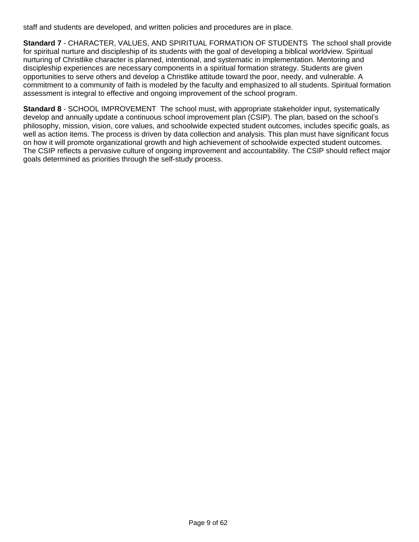staff and students are developed, and written policies and procedures are in place.

**Standard 7** - CHARACTER, VALUES, AND SPIRITUAL FORMATION OF STUDENTS The school shall provide for spiritual nurture and discipleship of its students with the goal of developing a biblical worldview. Spiritual nurturing of Christlike character is planned, intentional, and systematic in implementation. Mentoring and discipleship experiences are necessary components in a spiritual formation strategy. Students are given opportunities to serve others and develop a Christlike attitude toward the poor, needy, and vulnerable. A commitment to a community of faith is modeled by the faculty and emphasized to all students. Spiritual formation assessment is integral to effective and ongoing improvement of the school program.

**Standard 8** - SCHOOL IMPROVEMENT The school must, with appropriate stakeholder input, systematically develop and annually update a continuous school improvement plan (CSIP). The plan, based on the school's philosophy, mission, vision, core values, and schoolwide expected student outcomes, includes specific goals, as well as action items. The process is driven by data collection and analysis. This plan must have significant focus on how it will promote organizational growth and high achievement of schoolwide expected student outcomes. The CSIP reflects a pervasive culture of ongoing improvement and accountability. The CSIP should reflect major goals determined as priorities through the self-study process.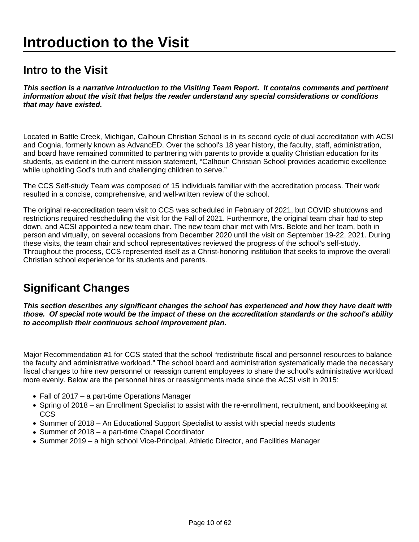# **Introduction to the Visit**

### **Intro to the Visit**

**This section is a narrative introduction to the Visiting Team Report. It contains comments and pertinent information about the visit that helps the reader understand any special considerations or conditions that may have existed.**

Located in Battle Creek, Michigan, Calhoun Christian School is in its second cycle of dual accreditation with ACSI and Cognia, formerly known as AdvancED. Over the school's 18 year history, the faculty, staff, administration, and board have remained committed to partnering with parents to provide a quality Christian education for its students, as evident in the current mission statement, "Calhoun Christian School provides academic excellence while upholding God's truth and challenging children to serve."

The CCS Self-study Team was composed of 15 individuals familiar with the accreditation process. Their work resulted in a concise, comprehensive, and well-written review of the school.

The original re-accreditation team visit to CCS was scheduled in February of 2021, but COVID shutdowns and restrictions required rescheduling the visit for the Fall of 2021. Furthermore, the original team chair had to step down, and ACSI appointed a new team chair. The new team chair met with Mrs. Belote and her team, both in person and virtually, on several occasions from December 2020 until the visit on September 19-22, 2021. During these visits, the team chair and school representatives reviewed the progress of the school's self-study. Throughout the process, CCS represented itself as a Christ-honoring institution that seeks to improve the overall Christian school experience for its students and parents.

# **Significant Changes**

**This section describes any significant changes the school has experienced and how they have dealt with those. Of special note would be the impact of these on the accreditation standards or the school's ability to accomplish their continuous school improvement plan.** 

Major Recommendation #1 for CCS stated that the school "redistribute fiscal and personnel resources to balance the faculty and administrative workload." The school board and administration systematically made the necessary fiscal changes to hire new personnel or reassign current employees to share the school's administrative workload more evenly. Below are the personnel hires or reassignments made since the ACSI visit in 2015:

- Fall of 2017 a part-time Operations Manager
- Spring of 2018 an Enrollment Specialist to assist with the re-enrollment, recruitment, and bookkeeping at **CCS**
- Summer of 2018 An Educational Support Specialist to assist with special needs students
- Summer of 2018 a part-time Chapel Coordinator
- Summer 2019 a high school Vice-Principal, Athletic Director, and Facilities Manager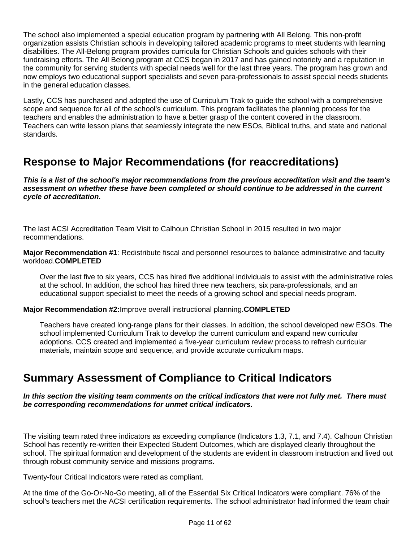The school also implemented a special education program by partnering with All Belong. This non-profit organization assists Christian schools in developing tailored academic programs to meet students with learning disabilities. The All-Belong program provides curricula for Christian Schools and guides schools with their fundraising efforts. The All Belong program at CCS began in 2017 and has gained notoriety and a reputation in the community for serving students with special needs well for the last three years. The program has grown and now employs two educational support specialists and seven para-professionals to assist special needs students in the general education classes.

Lastly, CCS has purchased and adopted the use of Curriculum Trak to guide the school with a comprehensive scope and sequence for all of the school's curriculum. This program facilitates the planning process for the teachers and enables the administration to have a better grasp of the content covered in the classroom. Teachers can write lesson plans that seamlessly integrate the new ESOs, Biblical truths, and state and national standards.

## **Response to Major Recommendations (for reaccreditations)**

**This is a list of the school's major recommendations from the previous accreditation visit and the team's assessment on whether these have been completed or should continue to be addressed in the current cycle of accreditation.** 

The last ACSI Accreditation Team Visit to Calhoun Christian School in 2015 resulted in two major recommendations.

**Major Recommendation #1**: Redistribute fiscal and personnel resources to balance administrative and faculty workload.**COMPLETED**

Over the last five to six years, CCS has hired five additional individuals to assist with the administrative roles at the school. In addition, the school has hired three new teachers, six para-professionals, and an educational support specialist to meet the needs of a growing school and special needs program.

#### **Major Recommendation #2:**Improve overall instructional planning.**COMPLETED**

Teachers have created long-range plans for their classes. In addition, the school developed new ESOs. The school implemented Curriculum Trak to develop the current curriculum and expand new curricular adoptions. CCS created and implemented a five-year curriculum review process to refresh curricular materials, maintain scope and sequence, and provide accurate curriculum maps.

### **Summary Assessment of Compliance to Critical Indicators**

**In this section the visiting team comments on the critical indicators that were not fully met. There must be corresponding recommendations for unmet critical indicators.**

The visiting team rated three indicators as exceeding compliance (Indicators 1.3, 7.1, and 7.4). Calhoun Christian School has recently re-written their Expected Student Outcomes, which are displayed clearly throughout the school. The spiritual formation and development of the students are evident in classroom instruction and lived out through robust community service and missions programs.

Twenty-four Critical Indicators were rated as compliant.

At the time of the Go-Or-No-Go meeting, all of the Essential Six Critical Indicators were compliant. 76% of the school's teachers met the ACSI certification requirements. The school administrator had informed the team chair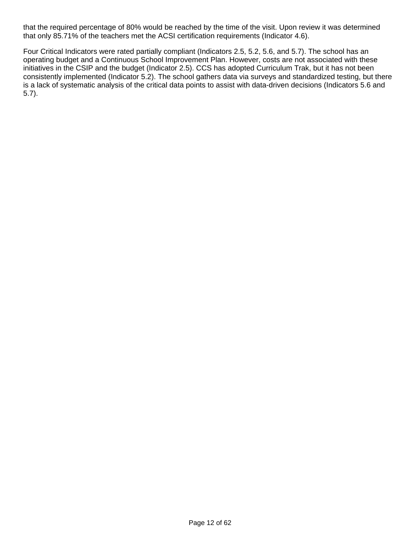that the required percentage of 80% would be reached by the time of the visit. Upon review it was determined that only 85.71% of the teachers met the ACSI certification requirements (Indicator 4.6).

Four Critical Indicators were rated partially compliant (Indicators 2.5, 5.2, 5.6, and 5.7). The school has an operating budget and a Continuous School Improvement Plan. However, costs are not associated with these initiatives in the CSIP and the budget (Indicator 2.5). CCS has adopted Curriculum Trak, but it has not been consistently implemented (Indicator 5.2). The school gathers data via surveys and standardized testing, but there is a lack of systematic analysis of the critical data points to assist with data-driven decisions (Indicators 5.6 and 5.7).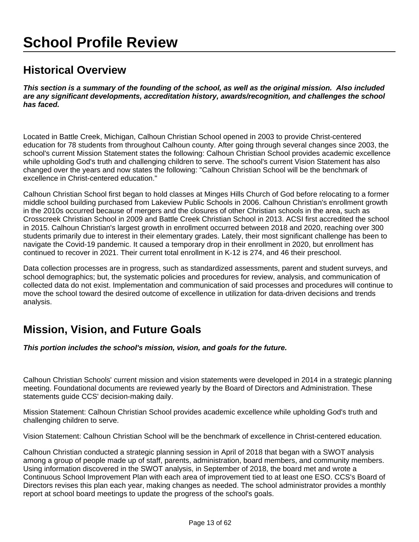# **School Profile Review**

## **Historical Overview**

**This section is a summary of the founding of the school, as well as the original mission. Also included are any significant developments, accreditation history, awards/recognition, and challenges the school has faced.**

Located in Battle Creek, Michigan, Calhoun Christian School opened in 2003 to provide Christ-centered education for 78 students from throughout Calhoun county. After going through several changes since 2003, the school's current Mission Statement states the following: Calhoun Christian School provides academic excellence while upholding God's truth and challenging children to serve. The school's current Vision Statement has also changed over the years and now states the following: "Calhoun Christian School will be the benchmark of excellence in Christ-centered education."

Calhoun Christian School first began to hold classes at Minges Hills Church of God before relocating to a former middle school building purchased from Lakeview Public Schools in 2006. Calhoun Christian's enrollment growth in the 2010s occurred because of mergers and the closures of other Christian schools in the area, such as Crosscreek Christian School in 2009 and Battle Creek Christian School in 2013. ACSI first accredited the school in 2015. Calhoun Christian's largest growth in enrollment occurred between 2018 and 2020, reaching over 300 students primarily due to interest in their elementary grades. Lately, their most significant challenge has been to navigate the Covid-19 pandemic. It caused a temporary drop in their enrollment in 2020, but enrollment has continued to recover in 2021. Their current total enrollment in K-12 is 274, and 46 their preschool.

Data collection processes are in progress, such as standardized assessments, parent and student surveys, and school demographics; but, the systematic policies and procedures for review, analysis, and communication of collected data do not exist. Implementation and communication of said processes and procedures will continue to move the school toward the desired outcome of excellence in utilization for data-driven decisions and trends analysis.

# **Mission, Vision, and Future Goals**

**This portion includes the school's mission, vision, and goals for the future.** 

Calhoun Christian Schools' current mission and vision statements were developed in 2014 in a strategic planning meeting. Foundational documents are reviewed yearly by the Board of Directors and Administration. These statements guide CCS' decision-making daily.

Mission Statement: Calhoun Christian School provides academic excellence while upholding God's truth and challenging children to serve.

Vision Statement: Calhoun Christian School will be the benchmark of excellence in Christ-centered education.

Calhoun Christian conducted a strategic planning session in April of 2018 that began with a SWOT analysis among a group of people made up of staff, parents, administration, board members, and community members. Using information discovered in the SWOT analysis, in September of 2018, the board met and wrote a Continuous School Improvement Plan with each area of improvement tied to at least one ESO. CCS's Board of Directors revises this plan each year, making changes as needed. The school administrator provides a monthly report at school board meetings to update the progress of the school's goals.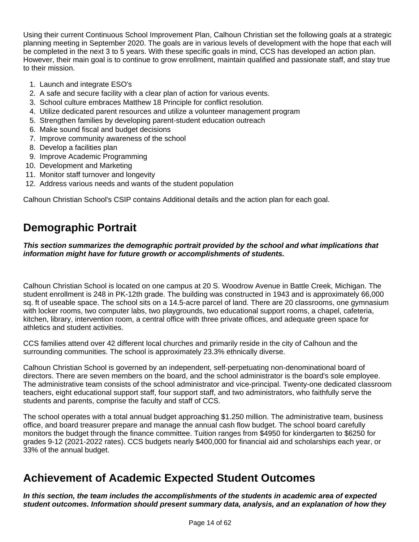Using their current Continuous School Improvement Plan, Calhoun Christian set the following goals at a strategic planning meeting in September 2020. The goals are in various levels of development with the hope that each will be completed in the next 3 to 5 years. With these specific goals in mind, CCS has developed an action plan. However, their main goal is to continue to grow enrollment, maintain qualified and passionate staff, and stay true to their mission.

- 1. Launch and integrate ESO's
- 2. A safe and secure facility with a clear plan of action for various events.
- 3. School culture embraces Matthew 18 Principle for conflict resolution.
- 4. Utilize dedicated parent resources and utilize a volunteer management program
- 5. Strengthen families by developing parent-student education outreach
- 6. Make sound fiscal and budget decisions
- 7. Improve community awareness of the school
- 8. Develop a facilities plan
- 9. Improve Academic Programming
- 10. Development and Marketing
- 11. Monitor staff turnover and longevity
- 12. Address various needs and wants of the student population

Calhoun Christian School's CSIP contains Additional details and the action plan for each goal.

# **Demographic Portrait**

**This section summarizes the demographic portrait provided by the school and what implications that information might have for future growth or accomplishments of students.**

Calhoun Christian School is located on one campus at 20 S. Woodrow Avenue in Battle Creek, Michigan. The student enrollment is 248 in PK-12th grade. The building was constructed in 1943 and is approximately 66,000 sq. ft of useable space. The school sits on a 14.5-acre parcel of land. There are 20 classrooms, one gymnasium with locker rooms, two computer labs, two playgrounds, two educational support rooms, a chapel, cafeteria, kitchen, library, intervention room, a central office with three private offices, and adequate green space for athletics and student activities.

CCS families attend over 42 different local churches and primarily reside in the city of Calhoun and the surrounding communities. The school is approximately 23.3% ethnically diverse.

Calhoun Christian School is governed by an independent, self-perpetuating non-denominational board of directors. There are seven members on the board, and the school administrator is the board's sole employee. The administrative team consists of the school administrator and vice-principal. Twenty-one dedicated classroom teachers, eight educational support staff, four support staff, and two administrators, who faithfully serve the students and parents, comprise the faculty and staff of CCS.

The school operates with a total annual budget approaching \$1.250 million. The administrative team, business office, and board treasurer prepare and manage the annual cash flow budget. The school board carefully monitors the budget through the finance committee. Tuition ranges from \$4950 for kindergarten to \$6250 for grades 9-12 (2021-2022 rates). CCS budgets nearly \$400,000 for financial aid and scholarships each year, or 33% of the annual budget.

### **Achievement of Academic Expected Student Outcomes**

**In this section, the team includes the accomplishments of the students in academic area of expected student outcomes. Information should present summary data, analysis, and an explanation of how they**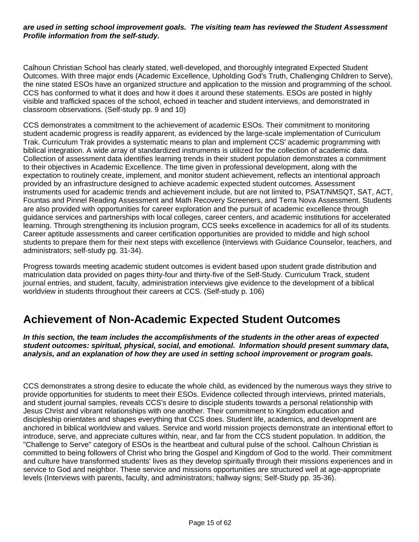#### **are used in setting school improvement goals. The visiting team has reviewed the Student Assessment Profile information from the self-study.**

Calhoun Christian School has clearly stated, well-developed, and thoroughly integrated Expected Student Outcomes. With three major ends (Academic Excellence, Upholding God's Truth, Challenging Children to Serve), the nine stated ESOs have an organized structure and application to the mission and programming of the school. CCS has conformed to what it does and how it does it around these statements. ESOs are posted in highly visible and trafficked spaces of the school, echoed in teacher and student interviews, and demonstrated in classroom observations. (Self-study pp. 9 and 10)

CCS demonstrates a commitment to the achievement of academic ESOs. Their commitment to monitoring student academic progress is readily apparent, as evidenced by the large-scale implementation of Curriculum Trak. Curriculum Trak provides a systematic means to plan and implement CCS' academic programming with biblical integration. A wide array of standardized instruments is utilized for the collection of academic data. Collection of assessment data identifies learning trends in their student population demonstrates a commitment to their objectives in Academic Excellence. The time given in professional development, along with the expectation to routinely create, implement, and monitor student achievement, reflects an intentional approach provided by an infrastructure designed to achieve academic expected student outcomes. Assessment instruments used for academic trends and achievement include, but are not limited to, PSAT/NMSQT, SAT, ACT, Fountas and Pinnel Reading Assessment and Math Recovery Screeners, and Terra Nova Assessment. Students are also provided with opportunities for career exploration and the pursuit of academic excellence through guidance services and partnerships with local colleges, career centers, and academic institutions for accelerated learning. Through strengthening its inclusion program, CCS seeks excellence in academics for all of its students. Career aptitude assessments and career certification opportunities are provided to middle and high school students to prepare them for their next steps with excellence (Interviews with Guidance Counselor, teachers, and administrators; self-study pg. 31-34).

Progress towards meeting academic student outcomes is evident based upon student grade distribution and matriculation data provided on pages thirty-four and thirty-five of the Self-Study. Curriculum Track, student journal entries, and student, faculty, administration interviews give evidence to the development of a biblical worldview in students throughout their careers at CCS. (Self-study p. 106)

### **Achievement of Non-Academic Expected Student Outcomes**

**In this section, the team includes the accomplishments of the students in the other areas of expected student outcomes: spiritual, physical, social, and emotional. Information should present summary data, analysis, and an explanation of how they are used in setting school improvement or program goals.**

CCS demonstrates a strong desire to educate the whole child, as evidenced by the numerous ways they strive to provide opportunities for students to meet their ESOs. Evidence collected through interviews, printed materials, and student journal samples, reveals CCS's desire to disciple students towards a personal relationship with Jesus Christ and vibrant relationships with one another. Their commitment to Kingdom education and discipleship orientates and shapes everything that CCS does. Student life, academics, and development are anchored in biblical worldview and values. Service and world mission projects demonstrate an intentional effort to introduce, serve, and appreciate cultures within, near, and far from the CCS student population. In addition, the "Challenge to Serve" category of ESOs is the heartbeat and cultural pulse of the school. Calhoun Christian is committed to being followers of Christ who bring the Gospel and Kingdom of God to the world. Their commitment and culture have transformed students' lives as they develop spiritually through their missions experiences and in service to God and neighbor. These service and missions opportunities are structured well at age-appropriate levels (Interviews with parents, faculty, and administrators; hallway signs; Self-Study pp. 35-36).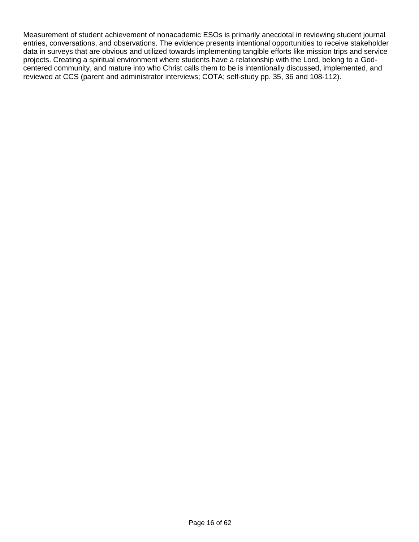Measurement of student achievement of nonacademic ESOs is primarily anecdotal in reviewing student journal entries, conversations, and observations. The evidence presents intentional opportunities to receive stakeholder data in surveys that are obvious and utilized towards implementing tangible efforts like mission trips and service projects. Creating a spiritual environment where students have a relationship with the Lord, belong to a Godcentered community, and mature into who Christ calls them to be is intentionally discussed, implemented, and reviewed at CCS (parent and administrator interviews; COTA; self-study pp. 35, 36 and 108-112).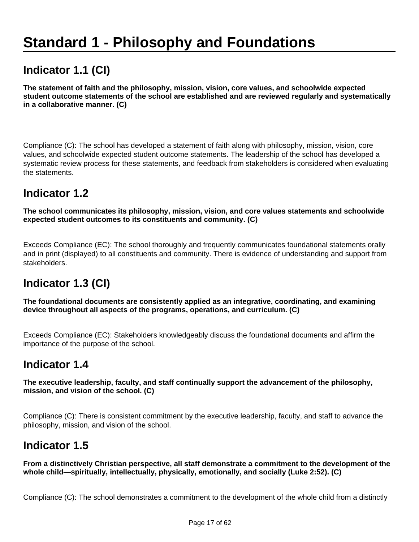# **Standard 1 - Philosophy and Foundations**

# **Indicator 1.1 (CI)**

**The statement of faith and the philosophy, mission, vision, core values, and schoolwide expected student outcome statements of the school are established and are reviewed regularly and systematically in a collaborative manner. (C)** 

Compliance (C): The school has developed a statement of faith along with philosophy, mission, vision, core values, and schoolwide expected student outcome statements. The leadership of the school has developed a systematic review process for these statements, and feedback from stakeholders is considered when evaluating the statements.

### **Indicator 1.2**

**The school communicates its philosophy, mission, vision, and core values statements and schoolwide expected student outcomes to its constituents and community. (C)**

Exceeds Compliance (EC): The school thoroughly and frequently communicates foundational statements orally and in print (displayed) to all constituents and community. There is evidence of understanding and support from stakeholders.

# **Indicator 1.3 (CI)**

**The foundational documents are consistently applied as an integrative, coordinating, and examining device throughout all aspects of the programs, operations, and curriculum. (C)**

Exceeds Compliance (EC): Stakeholders knowledgeably discuss the foundational documents and affirm the importance of the purpose of the school.

### **Indicator 1.4**

**The executive leadership, faculty, and staff continually support the advancement of the philosophy, mission, and vision of the school. (C)**

Compliance (C): There is consistent commitment by the executive leadership, faculty, and staff to advance the philosophy, mission, and vision of the school.

### **Indicator 1.5**

**From a distinctively Christian perspective, all staff demonstrate a commitment to the development of the whole child—spiritually, intellectually, physically, emotionally, and socially (Luke 2:52). (C)**

Compliance (C): The school demonstrates a commitment to the development of the whole child from a distinctly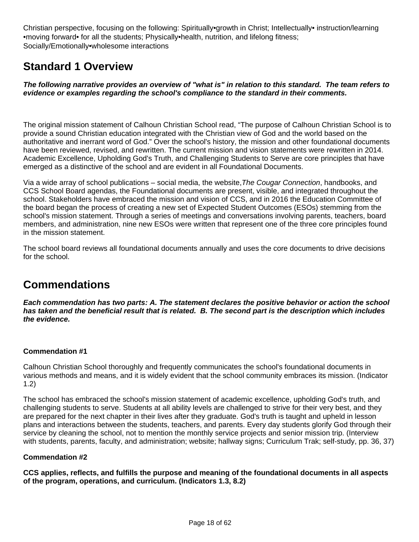Christian perspective, focusing on the following: Spiritually•growth in Christ; Intellectually• instruction/learning •moving forward• for all the students; Physically•health, nutrition, and lifelong fitness; Socially/Emotionally•wholesome interactions

# **Standard 1 Overview**

**The following narrative provides an overview of "what is" in relation to this standard. The team refers to evidence or examples regarding the school's compliance to the standard in their comments.** 

The original mission statement of Calhoun Christian School read, "The purpose of Calhoun Christian School is to provide a sound Christian education integrated with the Christian view of God and the world based on the authoritative and inerrant word of God." Over the school's history, the mission and other foundational documents have been reviewed, revised, and rewritten. The current mission and vision statements were rewritten in 2014. Academic Excellence, Upholding God's Truth, and Challenging Students to Serve are core principles that have emerged as a distinctive of the school and are evident in all Foundational Documents.

Via a wide array of school publications – social media, the website, The Cougar Connection, handbooks, and CCS School Board agendas, the Foundational documents are present, visible, and integrated throughout the school. Stakeholders have embraced the mission and vision of CCS, and in 2016 the Education Committee of the board began the process of creating a new set of Expected Student Outcomes (ESOs) stemming from the school's mission statement. Through a series of meetings and conversations involving parents, teachers, board members, and administration, nine new ESOs were written that represent one of the three core principles found in the mission statement.

The school board reviews all foundational documents annually and uses the core documents to drive decisions for the school.

# **Commendations**

**Each commendation has two parts: A. The statement declares the positive behavior or action the school has taken and the beneficial result that is related. B. The second part is the description which includes the evidence.**

#### **Commendation #1**

Calhoun Christian School thoroughly and frequently communicates the school's foundational documents in various methods and means, and it is widely evident that the school community embraces its mission. (Indicator 1.2)

The school has embraced the school's mission statement of academic excellence, upholding God's truth, and challenging students to serve. Students at all ability levels are challenged to strive for their very best, and they are prepared for the next chapter in their lives after they graduate. God's truth is taught and upheld in lesson plans and interactions between the students, teachers, and parents. Every day students glorify God through their service by cleaning the school, not to mention the monthly service projects and senior mission trip. (Interview with students, parents, faculty, and administration; website; hallway signs; Curriculum Trak; self-study, pp. 36, 37)

#### **Commendation #2**

**CCS applies, reflects, and fulfills the purpose and meaning of the foundational documents in all aspects of the program, operations, and curriculum. (Indicators 1.3, 8.2)**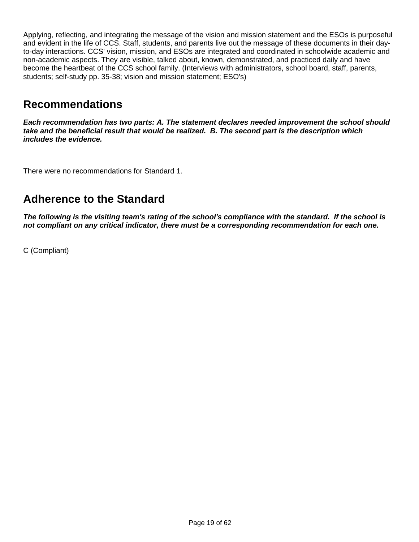Applying, reflecting, and integrating the message of the vision and mission statement and the ESOs is purposeful and evident in the life of CCS. Staff, students, and parents live out the message of these documents in their dayto-day interactions. CCS' vision, mission, and ESOs are integrated and coordinated in schoolwide academic and non-academic aspects. They are visible, talked about, known, demonstrated, and practiced daily and have become the heartbeat of the CCS school family. (Interviews with administrators, school board, staff, parents, students; self-study pp. 35-38; vision and mission statement; ESO's)

### **Recommendations**

**Each recommendation has two parts: A. The statement declares needed improvement the school should take and the beneficial result that would be realized. B. The second part is the description which includes the evidence.**

There were no recommendations for Standard 1.

### **Adherence to the Standard**

**The following is the visiting team's rating of the school's compliance with the standard. If the school is not compliant on any critical indicator, there must be a corresponding recommendation for each one.**

C (Compliant)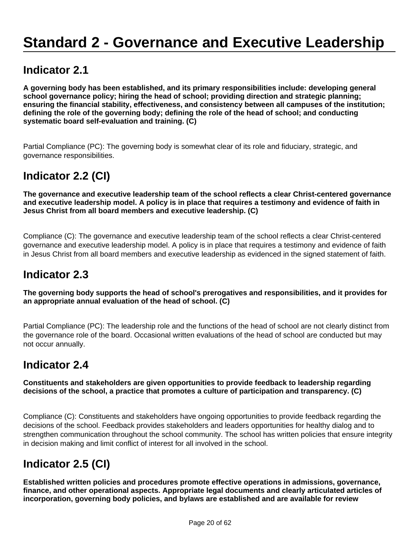# **Standard 2 - Governance and Executive Leadership**

### **Indicator 2.1**

**A governing body has been established, and its primary responsibilities include: developing general school governance policy; hiring the head of school; providing direction and strategic planning; ensuring the financial stability, effectiveness, and consistency between all campuses of the institution; defining the role of the governing body; defining the role of the head of school; and conducting systematic board self-evaluation and training. (C)**

Partial Compliance (PC): The governing body is somewhat clear of its role and fiduciary, strategic, and governance responsibilities.

# **Indicator 2.2 (CI)**

**The governance and executive leadership team of the school reflects a clear Christ-centered governance and executive leadership model. A policy is in place that requires a testimony and evidence of faith in Jesus Christ from all board members and executive leadership. (C)**

Compliance (C): The governance and executive leadership team of the school reflects a clear Christ-centered governance and executive leadership model. A policy is in place that requires a testimony and evidence of faith in Jesus Christ from all board members and executive leadership as evidenced in the signed statement of faith.

# **Indicator 2.3**

**The governing body supports the head of school's prerogatives and responsibilities, and it provides for an appropriate annual evaluation of the head of school. (C)**

Partial Compliance (PC): The leadership role and the functions of the head of school are not clearly distinct from the governance role of the board. Occasional written evaluations of the head of school are conducted but may not occur annually.

# **Indicator 2.4**

**Constituents and stakeholders are given opportunities to provide feedback to leadership regarding decisions of the school, a practice that promotes a culture of participation and transparency. (C)**

Compliance (C): Constituents and stakeholders have ongoing opportunities to provide feedback regarding the decisions of the school. Feedback provides stakeholders and leaders opportunities for healthy dialog and to strengthen communication throughout the school community. The school has written policies that ensure integrity in decision making and limit conflict of interest for all involved in the school.

# **Indicator 2.5 (CI)**

**Established written policies and procedures promote effective operations in admissions, governance, finance, and other operational aspects. Appropriate legal documents and clearly articulated articles of incorporation, governing body policies, and bylaws are established and are available for review**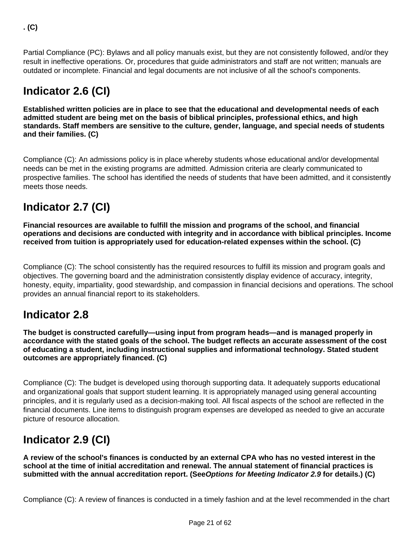Partial Compliance (PC): Bylaws and all policy manuals exist, but they are not consistently followed, and/or they result in ineffective operations. Or, procedures that guide administrators and staff are not written; manuals are outdated or incomplete. Financial and legal documents are not inclusive of all the school's components.

# **Indicator 2.6 (CI)**

**Established written policies are in place to see that the educational and developmental needs of each admitted student are being met on the basis of biblical principles, professional ethics, and high standards. Staff members are sensitive to the culture, gender, language, and special needs of students and their families. (C)**

Compliance (C): An admissions policy is in place whereby students whose educational and/or developmental needs can be met in the existing programs are admitted. Admission criteria are clearly communicated to prospective families. The school has identified the needs of students that have been admitted, and it consistently meets those needs.

# **Indicator 2.7 (CI)**

**Financial resources are available to fulfill the mission and programs of the school, and financial operations and decisions are conducted with integrity and in accordance with biblical principles. Income received from tuition is appropriately used for education-related expenses within the school. (C)** 

Compliance (C): The school consistently has the required resources to fulfill its mission and program goals and objectives. The governing board and the administration consistently display evidence of accuracy, integrity, honesty, equity, impartiality, good stewardship, and compassion in financial decisions and operations. The school provides an annual financial report to its stakeholders.

# **Indicator 2.8**

**The budget is constructed carefully—using input from program heads—and is managed properly in accordance with the stated goals of the school. The budget reflects an accurate assessment of the cost of educating a student, including instructional supplies and informational technology. Stated student outcomes are appropriately financed. (C)**

Compliance (C): The budget is developed using thorough supporting data. It adequately supports educational and organizational goals that support student learning. It is appropriately managed using general accounting principles, and it is regularly used as a decision-making tool. All fiscal aspects of the school are reflected in the financial documents. Line items to distinguish program expenses are developed as needed to give an accurate picture of resource allocation.

# **Indicator 2.9 (CI)**

**A review of the school's finances is conducted by an external CPA who has no vested interest in the school at the time of initial accreditation and renewal. The annual statement of financial practices is submitted with the annual accreditation report. (SeeOptions for Meeting Indicator 2.9 for details.) (C)**

Compliance (C): A review of finances is conducted in a timely fashion and at the level recommended in the chart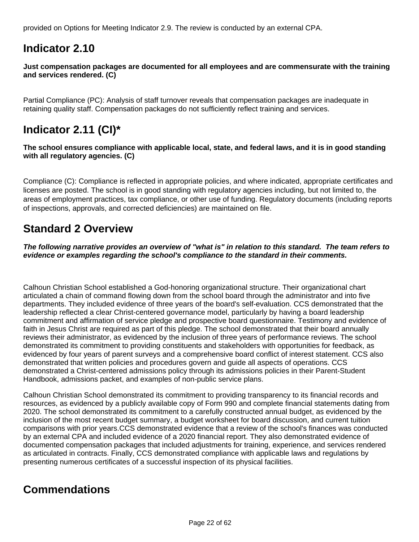provided on Options for Meeting Indicator 2.9. The review is conducted by an external CPA.

# **Indicator 2.10**

**Just compensation packages are documented for all employees and are commensurate with the training and services rendered. (C)**

Partial Compliance (PC): Analysis of staff turnover reveals that compensation packages are inadequate in retaining quality staff. Compensation packages do not sufficiently reflect training and services.

# **Indicator 2.11 (CI)\***

**The school ensures compliance with applicable local, state, and federal laws, and it is in good standing with all regulatory agencies. (C)** 

Compliance (C): Compliance is reflected in appropriate policies, and where indicated, appropriate certificates and licenses are posted. The school is in good standing with regulatory agencies including, but not limited to, the areas of employment practices, tax compliance, or other use of funding. Regulatory documents (including reports of inspections, approvals, and corrected deficiencies) are maintained on file.

## **Standard 2 Overview**

**The following narrative provides an overview of "what is" in relation to this standard. The team refers to evidence or examples regarding the school's compliance to the standard in their comments.** 

Calhoun Christian School established a God-honoring organizational structure. Their organizational chart articulated a chain of command flowing down from the school board through the administrator and into five departments. They included evidence of three years of the board's self-evaluation. CCS demonstrated that the leadership reflected a clear Christ-centered governance model, particularly by having a board leadership commitment and affirmation of service pledge and prospective board questionnaire. Testimony and evidence of faith in Jesus Christ are required as part of this pledge. The school demonstrated that their board annually reviews their administrator, as evidenced by the inclusion of three years of performance reviews. The school demonstrated its commitment to providing constituents and stakeholders with opportunities for feedback, as evidenced by four years of parent surveys and a comprehensive board conflict of interest statement. CCS also demonstrated that written policies and procedures govern and guide all aspects of operations. CCS demonstrated a Christ-centered admissions policy through its admissions policies in their Parent-Student Handbook, admissions packet, and examples of non-public service plans.

Calhoun Christian School demonstrated its commitment to providing transparency to its financial records and resources, as evidenced by a publicly available copy of Form 990 and complete financial statements dating from 2020. The school demonstrated its commitment to a carefully constructed annual budget, as evidenced by the inclusion of the most recent budget summary, a budget worksheet for board discussion, and current tuition comparisons with prior years.CCS demonstrated evidence that a review of the school's finances was conducted by an external CPA and included evidence of a 2020 financial report. They also demonstrated evidence of documented compensation packages that included adjustments for training, experience, and services rendered as articulated in contracts. Finally, CCS demonstrated compliance with applicable laws and regulations by presenting numerous certificates of a successful inspection of its physical facilities.

# **Commendations**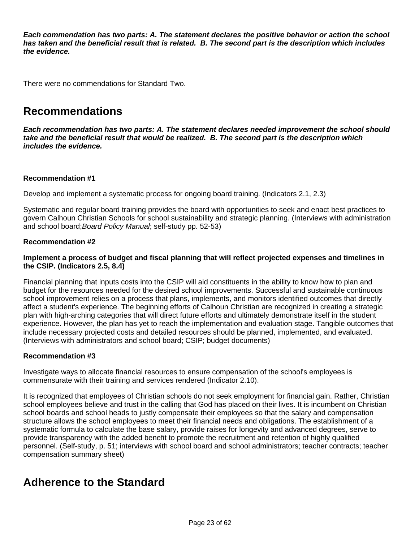**Each commendation has two parts: A. The statement declares the positive behavior or action the school has taken and the beneficial result that is related. B. The second part is the description which includes the evidence.**

There were no commendations for Standard Two.

### **Recommendations**

**Each recommendation has two parts: A. The statement declares needed improvement the school should take and the beneficial result that would be realized. B. The second part is the description which includes the evidence.**

#### **Recommendation #1**

Develop and implement a systematic process for ongoing board training. (Indicators 2.1, 2.3)

Systematic and regular board training provides the board with opportunities to seek and enact best practices to govern Calhoun Christian Schools for school sustainability and strategic planning. (Interviews with administration and school board;Board Policy Manual; self-study pp. 52-53)

#### **Recommendation #2**

#### **Implement a process of budget and fiscal planning that will reflect projected expenses and timelines in the CSIP. (Indicators 2.5, 8.4)**

Financial planning that inputs costs into the CSIP will aid constituents in the ability to know how to plan and budget for the resources needed for the desired school improvements. Successful and sustainable continuous school improvement relies on a process that plans, implements, and monitors identified outcomes that directly affect a student's experience. The beginning efforts of Calhoun Christian are recognized in creating a strategic plan with high-arching categories that will direct future efforts and ultimately demonstrate itself in the student experience. However, the plan has yet to reach the implementation and evaluation stage. Tangible outcomes that include necessary projected costs and detailed resources should be planned, implemented, and evaluated. (Interviews with administrators and school board; CSIP; budget documents)

#### **Recommendation #3**

Investigate ways to allocate financial resources to ensure compensation of the school's employees is commensurate with their training and services rendered (Indicator 2.10).

It is recognized that employees of Christian schools do not seek employment for financial gain. Rather, Christian school employees believe and trust in the calling that God has placed on their lives. It is incumbent on Christian school boards and school heads to justly compensate their employees so that the salary and compensation structure allows the school employees to meet their financial needs and obligations. The establishment of a systematic formula to calculate the base salary, provide raises for longevity and advanced degrees, serve to provide transparency with the added benefit to promote the recruitment and retention of highly qualified personnel. (Self-study, p. 51; interviews with school board and school administrators; teacher contracts; teacher compensation summary sheet)

### **Adherence to the Standard**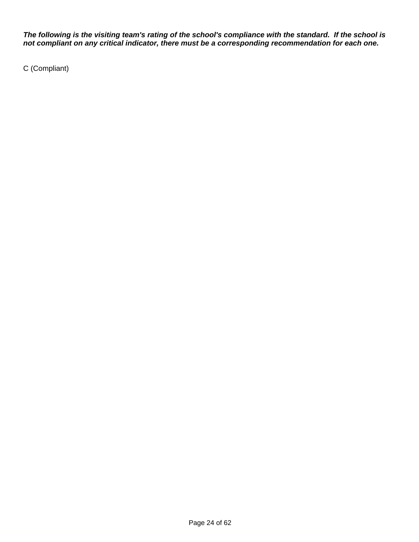**The following is the visiting team's rating of the school's compliance with the standard. If the school is not compliant on any critical indicator, there must be a corresponding recommendation for each one.**

C (Compliant)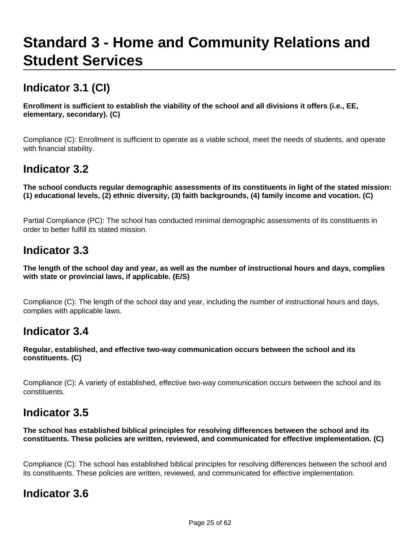# **Standard 3 - Home and Community Relations and Student Services**

# **Indicator 3.1 (CI)**

**Enrollment is sufficient to establish the viability of the school and all divisions it offers (i.e., EE, elementary, secondary). (C)**

Compliance (C): Enrollment is sufficient to operate as a viable school, meet the needs of students, and operate with financial stability.

## **Indicator 3.2**

**The school conducts regular demographic assessments of its constituents in light of the stated mission: (1) educational levels, (2) ethnic diversity, (3) faith backgrounds, (4) family income and vocation. (C)**

Partial Compliance (PC): The school has conducted minimal demographic assessments of its constituents in order to better fulfill its stated mission.

### **Indicator 3.3**

**The length of the school day and year, as well as the number of instructional hours and days, complies with state or provincial laws, if applicable. (E/S)**

Compliance (C): The length of the school day and year, including the number of instructional hours and days, complies with applicable laws.

### **Indicator 3.4**

**Regular, established, and effective two-way communication occurs between the school and its constituents. (C)**

Compliance (C): A variety of established, effective two-way communication occurs between the school and its constituents.

### **Indicator 3.5**

**The school has established biblical principles for resolving differences between the school and its constituents. These policies are written, reviewed, and communicated for effective implementation. (C)**

Compliance (C): The school has established biblical principles for resolving differences between the school and its constituents. These policies are written, reviewed, and communicated for effective implementation.

### **Indicator 3.6**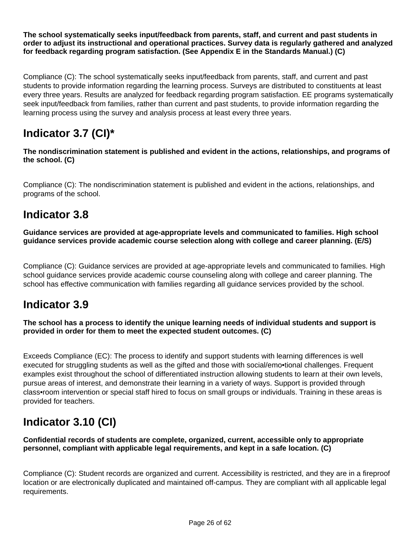**The school systematically seeks input/feedback from parents, staff, and current and past students in order to adjust its instructional and operational practices. Survey data is regularly gathered and analyzed for feedback regarding program satisfaction. (See Appendix E in the Standards Manual.) (C)**

Compliance (C): The school systematically seeks input/feedback from parents, staff, and current and past students to provide information regarding the learning process. Surveys are distributed to constituents at least every three years. Results are analyzed for feedback regarding program satisfaction. EE programs systematically seek input/feedback from families, rather than current and past students, to provide information regarding the learning process using the survey and analysis process at least every three years.

# **Indicator 3.7 (CI)\***

**The nondiscrimination statement is published and evident in the actions, relationships, and programs of the school. (C)**

Compliance (C): The nondiscrimination statement is published and evident in the actions, relationships, and programs of the school.

# **Indicator 3.8**

**Guidance services are provided at age-appropriate levels and communicated to families. High school guidance services provide academic course selection along with college and career planning. (E/S)**

Compliance (C): Guidance services are provided at age-appropriate levels and communicated to families. High school guidance services provide academic course counseling along with college and career planning. The school has effective communication with families regarding all guidance services provided by the school.

### **Indicator 3.9**

**The school has a process to identify the unique learning needs of individual students and support is provided in order for them to meet the expected student outcomes. (C)**

Exceeds Compliance (EC): The process to identify and support students with learning differences is well executed for struggling students as well as the gifted and those with social/emo•tional challenges. Frequent examples exist throughout the school of differentiated instruction allowing students to learn at their own levels, pursue areas of interest, and demonstrate their learning in a variety of ways. Support is provided through class•room intervention or special staff hired to focus on small groups or individuals. Training in these areas is provided for teachers.

# **Indicator 3.10 (CI)**

**Confidential records of students are complete, organized, current, accessible only to appropriate personnel, compliant with applicable legal requirements, and kept in a safe location. (C)**

Compliance (C): Student records are organized and current. Accessibility is restricted, and they are in a fireproof location or are electronically duplicated and maintained off-campus. They are compliant with all applicable legal requirements.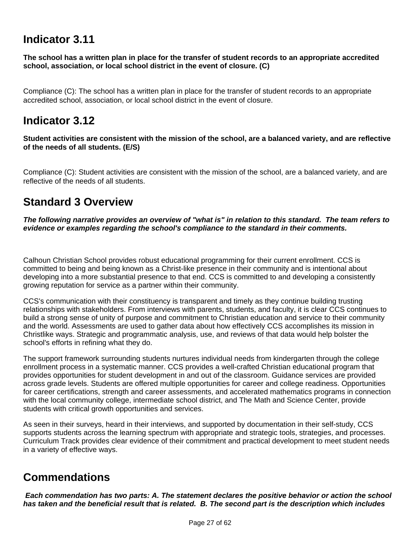## **Indicator 3.11**

**The school has a written plan in place for the transfer of student records to an appropriate accredited school, association, or local school district in the event of closure. (C)**

Compliance (C): The school has a written plan in place for the transfer of student records to an appropriate accredited school, association, or local school district in the event of closure.

### **Indicator 3.12**

**Student activities are consistent with the mission of the school, are a balanced variety, and are reflective of the needs of all students. (E/S)**

Compliance (C): Student activities are consistent with the mission of the school, are a balanced variety, and are reflective of the needs of all students.

### **Standard 3 Overview**

**The following narrative provides an overview of "what is" in relation to this standard. The team refers to evidence or examples regarding the school's compliance to the standard in their comments.** 

Calhoun Christian School provides robust educational programming for their current enrollment. CCS is committed to being and being known as a Christ-like presence in their community and is intentional about developing into a more substantial presence to that end. CCS is committed to and developing a consistently growing reputation for service as a partner within their community.

CCS's communication with their constituency is transparent and timely as they continue building trusting relationships with stakeholders. From interviews with parents, students, and faculty, it is clear CCS continues to build a strong sense of unity of purpose and commitment to Christian education and service to their community and the world. Assessments are used to gather data about how effectively CCS accomplishes its mission in Christlike ways. Strategic and programmatic analysis, use, and reviews of that data would help bolster the school's efforts in refining what they do.

The support framework surrounding students nurtures individual needs from kindergarten through the college enrollment process in a systematic manner. CCS provides a well-crafted Christian educational program that provides opportunities for student development in and out of the classroom. Guidance services are provided across grade levels. Students are offered multiple opportunities for career and college readiness. Opportunities for career certifications, strength and career assessments, and accelerated mathematics programs in connection with the local community college, intermediate school district, and The Math and Science Center, provide students with critical growth opportunities and services.

As seen in their surveys, heard in their interviews, and supported by documentation in their self-study, CCS supports students across the learning spectrum with appropriate and strategic tools, strategies, and processes. Curriculum Track provides clear evidence of their commitment and practical development to meet student needs in a variety of effective ways.

# **Commendations**

 **Each commendation has two parts: A. The statement declares the positive behavior or action the school has taken and the beneficial result that is related. B. The second part is the description which includes**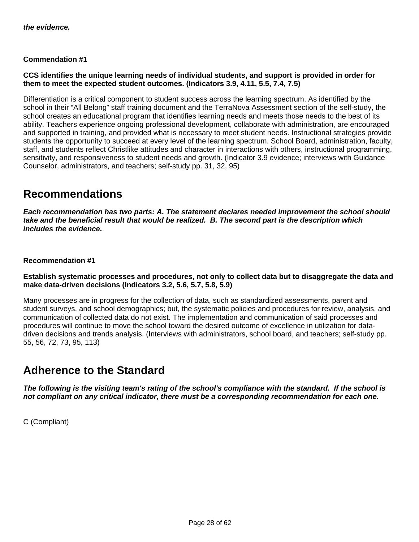#### **Commendation #1**

#### **CCS identifies the unique learning needs of individual students, and support is provided in order for them to meet the expected student outcomes. (Indicators 3.9, 4.11, 5.5, 7.4, 7.5)**

Differentiation is a critical component to student success across the learning spectrum. As identified by the school in their "All Belong" staff training document and the TerraNova Assessment section of the self-study, the school creates an educational program that identifies learning needs and meets those needs to the best of its ability. Teachers experience ongoing professional development, collaborate with administration, are encouraged and supported in training, and provided what is necessary to meet student needs. Instructional strategies provide students the opportunity to succeed at every level of the learning spectrum. School Board, administration, faculty, staff, and students reflect Christlike attitudes and character in interactions with others, instructional programming, sensitivity, and responsiveness to student needs and growth. (Indicator 3.9 evidence; interviews with Guidance Counselor, administrators, and teachers; self-study pp. 31, 32, 95)

### **Recommendations**

**Each recommendation has two parts: A. The statement declares needed improvement the school should take and the beneficial result that would be realized. B. The second part is the description which includes the evidence.**

#### **Recommendation #1**

#### **Establish systematic processes and procedures, not only to collect data but to disaggregate the data and make data-driven decisions (Indicators 3.2, 5.6, 5.7, 5.8, 5.9)**

Many processes are in progress for the collection of data, such as standardized assessments, parent and student surveys, and school demographics; but, the systematic policies and procedures for review, analysis, and communication of collected data do not exist. The implementation and communication of said processes and procedures will continue to move the school toward the desired outcome of excellence in utilization for datadriven decisions and trends analysis. (Interviews with administrators, school board, and teachers; self-study pp. 55, 56, 72, 73, 95, 113)

### **Adherence to the Standard**

**The following is the visiting team's rating of the school's compliance with the standard. If the school is not compliant on any critical indicator, there must be a corresponding recommendation for each one.**

C (Compliant)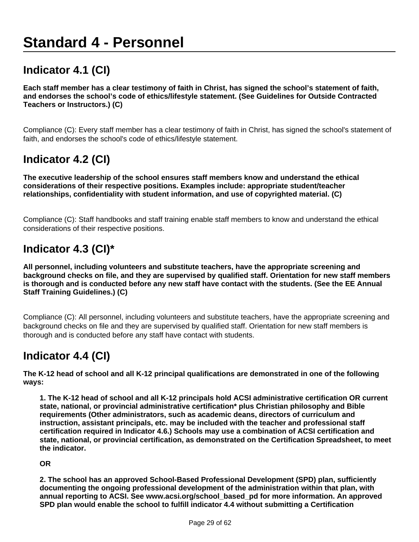# **Standard 4 - Personnel**

# **Indicator 4.1 (CI)**

**Each staff member has a clear testimony of faith in Christ, has signed the school's statement of faith, and endorses the school's code of ethics/lifestyle statement. (See Guidelines for Outside Contracted Teachers or Instructors.) (C)**

Compliance (C): Every staff member has a clear testimony of faith in Christ, has signed the school's statement of faith, and endorses the school's code of ethics/lifestyle statement.

## **Indicator 4.2 (CI)**

**The executive leadership of the school ensures staff members know and understand the ethical considerations of their respective positions. Examples include: appropriate student/teacher relationships, confidentiality with student information, and use of copyrighted material. (C)**

Compliance (C): Staff handbooks and staff training enable staff members to know and understand the ethical considerations of their respective positions.

# **Indicator 4.3 (CI)\***

**All personnel, including volunteers and substitute teachers, have the appropriate screening and background checks on file, and they are supervised by qualified staff. Orientation for new staff members is thorough and is conducted before any new staff have contact with the students. (See the EE Annual Staff Training Guidelines.) (C)**

Compliance (C): All personnel, including volunteers and substitute teachers, have the appropriate screening and background checks on file and they are supervised by qualified staff. Orientation for new staff members is thorough and is conducted before any staff have contact with students.

### **Indicator 4.4 (CI)**

**The K-12 head of school and all K-12 principal qualifications are demonstrated in one of the following ways:**

**1. The K-12 head of school and all K-12 principals hold ACSI administrative certification OR current state, national, or provincial administrative certification\* plus Christian philosophy and Bible requirements (Other administrators, such as academic deans, directors of curriculum and instruction, assistant principals, etc. may be included with the teacher and professional staff certification required in Indicator 4.6.) Schools may use a combination of ACSI certification and state, national, or provincial certification, as demonstrated on the Certification Spreadsheet, to meet the indicator.**

#### **OR**

**2. The school has an approved School-Based Professional Development (SPD) plan, sufficiently documenting the ongoing professional development of the administration within that plan, with annual reporting to ACSI. See www.acsi.org/school\_based\_pd for more information. An approved SPD plan would enable the school to fulfill indicator 4.4 without submitting a Certification**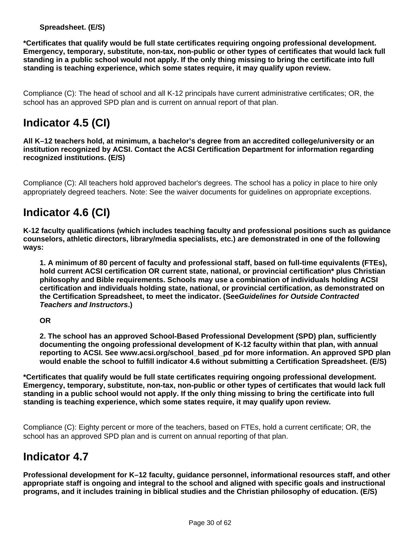#### **Spreadsheet. (E/S)**

**\*Certificates that qualify would be full state certificates requiring ongoing professional development. Emergency, temporary, substitute, non-tax, non-public or other types of certificates that would lack full standing in a public school would not apply. If the only thing missing to bring the certificate into full standing is teaching experience, which some states require, it may qualify upon review.**

Compliance (C): The head of school and all K-12 principals have current administrative certificates; OR, the school has an approved SPD plan and is current on annual report of that plan.

# **Indicator 4.5 (CI)**

**All K–12 teachers hold, at minimum, a bachelor's degree from an accredited college/university or an institution recognized by ACSI. Contact the ACSI Certification Department for information regarding recognized institutions. (E/S)**

Compliance (C): All teachers hold approved bachelor's degrees. The school has a policy in place to hire only appropriately degreed teachers. Note: See the waiver documents for guidelines on appropriate exceptions.

## **Indicator 4.6 (CI)**

**K-12 faculty qualifications (which includes teaching faculty and professional positions such as guidance counselors, athletic directors, library/media specialists, etc.) are demonstrated in one of the following ways:**

**1. A minimum of 80 percent of faculty and professional staff, based on full-time equivalents (FTEs), hold current ACSI certification OR current state, national, or provincial certification\* plus Christian philosophy and Bible requirements. Schools may use a combination of individuals holding ACSI certification and individuals holding state, national, or provincial certification, as demonstrated on the Certification Spreadsheet, to meet the indicator. (SeeGuidelines for Outside Contracted Teachers and Instructors.)**

#### **OR**

**2. The school has an approved School-Based Professional Development (SPD) plan, sufficiently documenting the ongoing professional development of K-12 faculty within that plan, with annual reporting to ACSI. See www.acsi.org/school\_based\_pd for more information. An approved SPD plan would enable the school to fulfill indicator 4.6 without submitting a Certification Spreadsheet. (E/S)**

**\*Certificates that qualify would be full state certificates requiring ongoing professional development. Emergency, temporary, substitute, non-tax, non-public or other types of certificates that would lack full standing in a public school would not apply. If the only thing missing to bring the certificate into full standing is teaching experience, which some states require, it may qualify upon review.**

Compliance (C): Eighty percent or more of the teachers, based on FTEs, hold a current certificate; OR, the school has an approved SPD plan and is current on annual reporting of that plan.

### **Indicator 4.7**

**Professional development for K–12 faculty, guidance personnel, informational resources staff, and other appropriate staff is ongoing and integral to the school and aligned with specific goals and instructional programs, and it includes training in biblical studies and the Christian philosophy of education. (E/S)**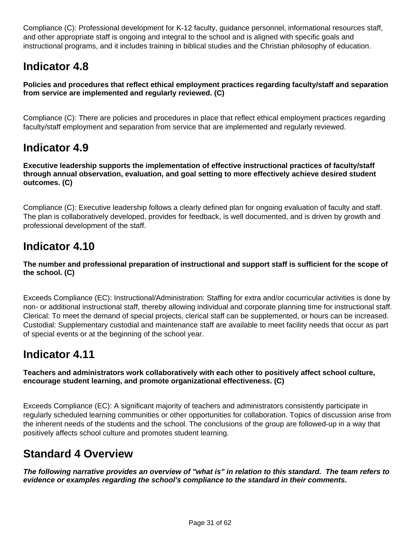Compliance (C): Professional development for K-12 faculty, guidance personnel, informational resources staff, and other appropriate staff is ongoing and integral to the school and is aligned with specific goals and instructional programs, and it includes training in biblical studies and the Christian philosophy of education.

# **Indicator 4.8**

**Policies and procedures that reflect ethical employment practices regarding faculty/staff and separation from service are implemented and regularly reviewed. (C)**

Compliance (C): There are policies and procedures in place that reflect ethical employment practices regarding faculty/staff employment and separation from service that are implemented and regularly reviewed.

### **Indicator 4.9**

**Executive leadership supports the implementation of effective instructional practices of faculty/staff through annual observation, evaluation, and goal setting to more effectively achieve desired student outcomes. (C)**

Compliance (C): Executive leadership follows a clearly defined plan for ongoing evaluation of faculty and staff. The plan is collaboratively developed, provides for feedback, is well documented, and is driven by growth and professional development of the staff.

## **Indicator 4.10**

#### **The number and professional preparation of instructional and support staff is sufficient for the scope of the school. (C)**

Exceeds Compliance (EC): Instructional/Administration: Staffing for extra and/or cocurricular activities is done by non- or additional instructional staff, thereby allowing individual and corporate planning time for instructional staff. Clerical: To meet the demand of special projects, clerical staff can be supplemented, or hours can be increased. Custodial: Supplementary custodial and maintenance staff are available to meet facility needs that occur as part of special events or at the beginning of the school year.

### **Indicator 4.11**

#### **Teachers and administrators work collaboratively with each other to positively affect school culture, encourage student learning, and promote organizational effectiveness. (C)**

Exceeds Compliance (EC): A significant majority of teachers and administrators consistently participate in regularly scheduled learning communities or other opportunities for collaboration. Topics of discussion arise from the inherent needs of the students and the school. The conclusions of the group are followed-up in a way that positively affects school culture and promotes student learning.

### **Standard 4 Overview**

**The following narrative provides an overview of "what is" in relation to this standard. The team refers to evidence or examples regarding the school's compliance to the standard in their comments.**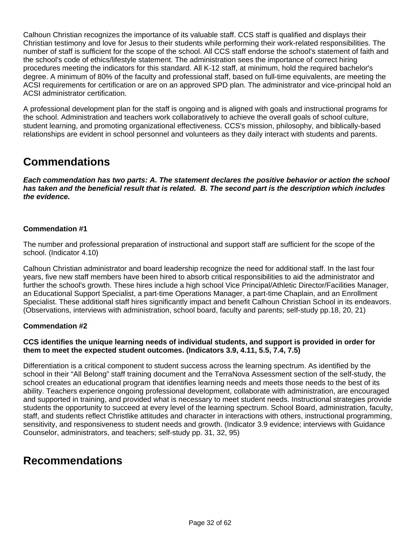Calhoun Christian recognizes the importance of its valuable staff. CCS staff is qualified and displays their Christian testimony and love for Jesus to their students while performing their work-related responsibilities. The number of staff is sufficient for the scope of the school. All CCS staff endorse the school's statement of faith and the school's code of ethics/lifestyle statement. The administration sees the importance of correct hiring procedures meeting the indicators for this standard. All K-12 staff, at minimum, hold the required bachelor's degree. A minimum of 80% of the faculty and professional staff, based on full-time equivalents, are meeting the ACSI requirements for certification or are on an approved SPD plan. The administrator and vice-principal hold an ACSI administrator certification.

A professional development plan for the staff is ongoing and is aligned with goals and instructional programs for the school. Administration and teachers work collaboratively to achieve the overall goals of school culture, student learning, and promoting organizational effectiveness. CCS's mission, philosophy, and biblically-based relationships are evident in school personnel and volunteers as they daily interact with students and parents.

## **Commendations**

**Each commendation has two parts: A. The statement declares the positive behavior or action the school has taken and the beneficial result that is related. B. The second part is the description which includes the evidence.**

#### **Commendation #1**

The number and professional preparation of instructional and support staff are sufficient for the scope of the school. (Indicator 4.10)

Calhoun Christian administrator and board leadership recognize the need for additional staff. In the last four years, five new staff members have been hired to absorb critical responsibilities to aid the administrator and further the school's growth. These hires include a high school Vice Principal/Athletic Director/Facilities Manager, an Educational Support Specialist, a part-time Operations Manager, a part-time Chaplain, and an Enrollment Specialist. These additional staff hires significantly impact and benefit Calhoun Christian School in its endeavors. (Observations, interviews with administration, school board, faculty and parents; self-study pp.18, 20, 21)

#### **Commendation #2**

#### **CCS identifies the unique learning needs of individual students, and support is provided in order for them to meet the expected student outcomes. (Indicators 3.9, 4.11, 5.5, 7.4, 7.5)**

Differentiation is a critical component to student success across the learning spectrum. As identified by the school in their "All Belong" staff training document and the TerraNova Assessment section of the self-study, the school creates an educational program that identifies learning needs and meets those needs to the best of its ability. Teachers experience ongoing professional development, collaborate with administration, are encouraged and supported in training, and provided what is necessary to meet student needs. Instructional strategies provide students the opportunity to succeed at every level of the learning spectrum. School Board, administration, faculty, staff, and students reflect Christlike attitudes and character in interactions with others, instructional programming, sensitivity, and responsiveness to student needs and growth. (Indicator 3.9 evidence; interviews with Guidance Counselor, administrators, and teachers; self-study pp. 31, 32, 95)

### **Recommendations**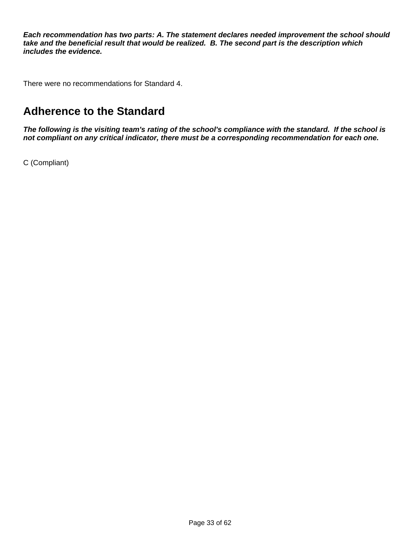**Each recommendation has two parts: A. The statement declares needed improvement the school should take and the beneficial result that would be realized. B. The second part is the description which includes the evidence.**

There were no recommendations for Standard 4.

## **Adherence to the Standard**

**The following is the visiting team's rating of the school's compliance with the standard. If the school is not compliant on any critical indicator, there must be a corresponding recommendation for each one.**

C (Compliant)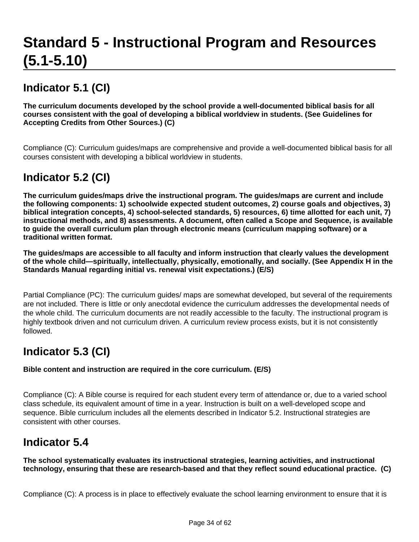# **Standard 5 - Instructional Program and Resources (5.1-5.10)**

# **Indicator 5.1 (CI)**

**The curriculum documents developed by the school provide a well-documented biblical basis for all courses consistent with the goal of developing a biblical worldview in students. (See Guidelines for Accepting Credits from Other Sources.) (C)**

Compliance (C): Curriculum guides/maps are comprehensive and provide a well-documented biblical basis for all courses consistent with developing a biblical worldview in students.

# **Indicator 5.2 (CI)**

**The curriculum guides/maps drive the instructional program. The guides/maps are current and include the following components: 1) schoolwide expected student outcomes, 2) course goals and objectives, 3) biblical integration concepts, 4) school-selected standards, 5) resources, 6) time allotted for each unit, 7) instructional methods, and 8) assessments. A document, often called a Scope and Sequence, is available to guide the overall curriculum plan through electronic means (curriculum mapping software) or a traditional written format.**

**The guides/maps are accessible to all faculty and inform instruction that clearly values the development of the whole child—spiritually, intellectually, physically, emotionally, and socially. (See Appendix H in the Standards Manual regarding initial vs. renewal visit expectations.) (E/S)**

Partial Compliance (PC): The curriculum guides/ maps are somewhat developed, but several of the requirements are not included. There is little or only anecdotal evidence the curriculum addresses the developmental needs of the whole child. The curriculum documents are not readily accessible to the faculty. The instructional program is highly textbook driven and not curriculum driven. A curriculum review process exists, but it is not consistently followed.

# **Indicator 5.3 (CI)**

**Bible content and instruction are required in the core curriculum. (E/S)**

Compliance (C): A Bible course is required for each student every term of attendance or, due to a varied school class schedule, its equivalent amount of time in a year. Instruction is built on a well-developed scope and sequence. Bible curriculum includes all the elements described in Indicator 5.2. Instructional strategies are consistent with other courses.

### **Indicator 5.4**

**The school systematically evaluates its instructional strategies, learning activities, and instructional technology, ensuring that these are research-based and that they reflect sound educational practice. (C)**

Compliance (C): A process is in place to effectively evaluate the school learning environment to ensure that it is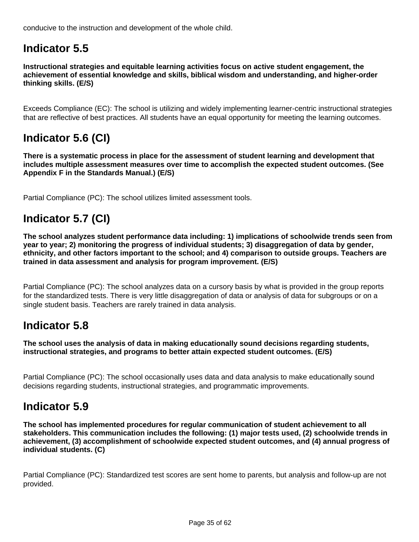conducive to the instruction and development of the whole child.

# **Indicator 5.5**

**Instructional strategies and equitable learning activities focus on active student engagement, the achievement of essential knowledge and skills, biblical wisdom and understanding, and higher-order thinking skills. (E/S)**

Exceeds Compliance (EC): The school is utilizing and widely implementing learner-centric instructional strategies that are reflective of best practices. All students have an equal opportunity for meeting the learning outcomes.

# **Indicator 5.6 (CI)**

**There is a systematic process in place for the assessment of student learning and development that includes multiple assessment measures over time to accomplish the expected student outcomes. (See Appendix F in the Standards Manual.) (E/S)**

Partial Compliance (PC): The school utilizes limited assessment tools.

# **Indicator 5.7 (CI)**

**The school analyzes student performance data including: 1) implications of schoolwide trends seen from year to year; 2) monitoring the progress of individual students; 3) disaggregation of data by gender, ethnicity, and other factors important to the school; and 4) comparison to outside groups. Teachers are trained in data assessment and analysis for program improvement. (E/S)**

Partial Compliance (PC): The school analyzes data on a cursory basis by what is provided in the group reports for the standardized tests. There is very little disaggregation of data or analysis of data for subgroups or on a single student basis. Teachers are rarely trained in data analysis.

### **Indicator 5.8**

**The school uses the analysis of data in making educationally sound decisions regarding students, instructional strategies, and programs to better attain expected student outcomes. (E/S)**

Partial Compliance (PC): The school occasionally uses data and data analysis to make educationally sound decisions regarding students, instructional strategies, and programmatic improvements.

### **Indicator 5.9**

**The school has implemented procedures for regular communication of student achievement to all stakeholders. This communication includes the following: (1) major tests used, (2) schoolwide trends in achievement, (3) accomplishment of schoolwide expected student outcomes, and (4) annual progress of individual students. (C)**

Partial Compliance (PC): Standardized test scores are sent home to parents, but analysis and follow-up are not provided.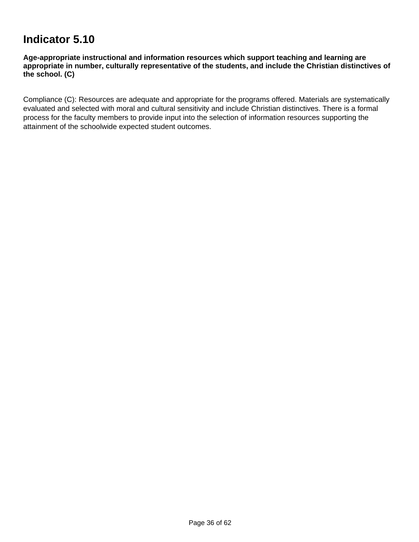## **Indicator 5.10**

**Age-appropriate instructional and information resources which support teaching and learning are appropriate in number, culturally representative of the students, and include the Christian distinctives of the school. (C)**

Compliance (C): Resources are adequate and appropriate for the programs offered. Materials are systematically evaluated and selected with moral and cultural sensitivity and include Christian distinctives. There is a formal process for the faculty members to provide input into the selection of information resources supporting the attainment of the schoolwide expected student outcomes.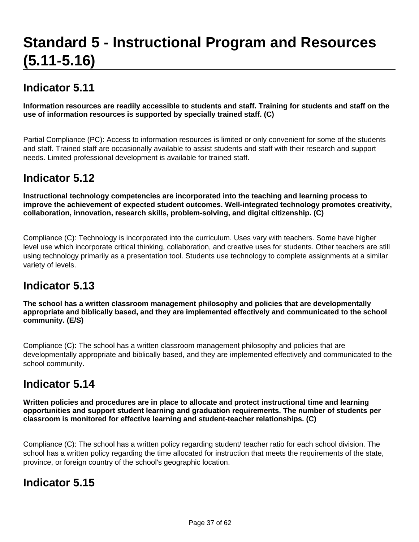# **Standard 5 - Instructional Program and Resources (5.11-5.16)**

# **Indicator 5.11**

**Information resources are readily accessible to students and staff. Training for students and staff on the use of information resources is supported by specially trained staff. (C)**

Partial Compliance (PC): Access to information resources is limited or only convenient for some of the students and staff. Trained staff are occasionally available to assist students and staff with their research and support needs. Limited professional development is available for trained staff.

# **Indicator 5.12**

**Instructional technology competencies are incorporated into the teaching and learning process to improve the achievement of expected student outcomes. Well-integrated technology promotes creativity, collaboration, innovation, research skills, problem-solving, and digital citizenship. (C)**

Compliance (C): Technology is incorporated into the curriculum. Uses vary with teachers. Some have higher level use which incorporate critical thinking, collaboration, and creative uses for students. Other teachers are still using technology primarily as a presentation tool. Students use technology to complete assignments at a similar variety of levels.

### **Indicator 5.13**

**The school has a written classroom management philosophy and policies that are developmentally appropriate and biblically based, and they are implemented effectively and communicated to the school community. (E/S)**

Compliance (C): The school has a written classroom management philosophy and policies that are developmentally appropriate and biblically based, and they are implemented effectively and communicated to the school community.

### **Indicator 5.14**

**Written policies and procedures are in place to allocate and protect instructional time and learning opportunities and support student learning and graduation requirements. The number of students per classroom is monitored for effective learning and student-teacher relationships. (C)**

Compliance (C): The school has a written policy regarding student/ teacher ratio for each school division. The school has a written policy regarding the time allocated for instruction that meets the requirements of the state, province, or foreign country of the school's geographic location.

# **Indicator 5.15**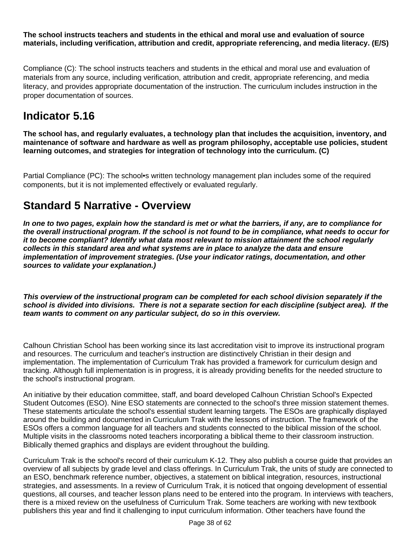**The school instructs teachers and students in the ethical and moral use and evaluation of source materials, including verification, attribution and credit, appropriate referencing, and media literacy. (E/S)**

Compliance (C): The school instructs teachers and students in the ethical and moral use and evaluation of materials from any source, including verification, attribution and credit, appropriate referencing, and media literacy, and provides appropriate documentation of the instruction. The curriculum includes instruction in the proper documentation of sources.

## **Indicator 5.16**

**The school has, and regularly evaluates, a technology plan that includes the acquisition, inventory, and maintenance of software and hardware as well as program philosophy, acceptable use policies, student learning outcomes, and strategies for integration of technology into the curriculum. (C)**

Partial Compliance (PC): The school•s written technology management plan includes some of the required components, but it is not implemented effectively or evaluated regularly.

### **Standard 5 Narrative - Overview**

**In one to two pages, explain how the standard is met or what the barriers, if any, are to compliance for the overall instructional program. If the school is not found to be in compliance, what needs to occur for it to become compliant? Identify what data most relevant to mission attainment the school regularly collects in this standard area and what systems are in place to analyze the data and ensure implementation of improvement strategies. (Use your indicator ratings, documentation, and other sources to validate your explanation.)**

**This overview of the instructional program can be completed for each school division separately if the school is divided into divisions. There is not a separate section for each discipline (subject area). If the team wants to comment on any particular subject, do so in this overview.** 

Calhoun Christian School has been working since its last accreditation visit to improve its instructional program and resources. The curriculum and teacher's instruction are distinctively Christian in their design and implementation. The implementation of Curriculum Trak has provided a framework for curriculum design and tracking. Although full implementation is in progress, it is already providing benefits for the needed structure to the school's instructional program.

An initiative by their education committee, staff, and board developed Calhoun Christian School's Expected Student Outcomes (ESO). Nine ESO statements are connected to the school's three mission statement themes. These statements articulate the school's essential student learning targets. The ESOs are graphically displayed around the building and documented in Curriculum Trak with the lessons of instruction. The framework of the ESOs offers a common language for all teachers and students connected to the biblical mission of the school. Multiple visits in the classrooms noted teachers incorporating a biblical theme to their classroom instruction. Biblically themed graphics and displays are evident throughout the building.

Curriculum Trak is the school's record of their curriculum K-12. They also publish a course guide that provides an overview of all subjects by grade level and class offerings. In Curriculum Trak, the units of study are connected to an ESO, benchmark reference number, objectives, a statement on biblical integration, resources, instructional strategies, and assessments. In a review of Curriculum Trak, it is noticed that ongoing development of essential questions, all courses, and teacher lesson plans need to be entered into the program. In interviews with teachers, there is a mixed review on the usefulness of Curriculum Trak. Some teachers are working with new textbook publishers this year and find it challenging to input curriculum information. Other teachers have found the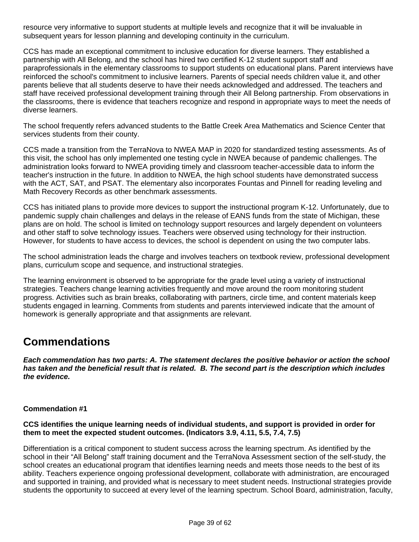resource very informative to support students at multiple levels and recognize that it will be invaluable in subsequent years for lesson planning and developing continuity in the curriculum.

CCS has made an exceptional commitment to inclusive education for diverse learners. They established a partnership with All Belong, and the school has hired two certified K-12 student support staff and paraprofessionals in the elementary classrooms to support students on educational plans. Parent interviews have reinforced the school's commitment to inclusive learners. Parents of special needs children value it, and other parents believe that all students deserve to have their needs acknowledged and addressed. The teachers and staff have received professional development training through their All Belong partnership. From observations in the classrooms, there is evidence that teachers recognize and respond in appropriate ways to meet the needs of diverse learners.

The school frequently refers advanced students to the Battle Creek Area Mathematics and Science Center that services students from their county.

CCS made a transition from the TerraNova to NWEA MAP in 2020 for standardized testing assessments. As of this visit, the school has only implemented one testing cycle in NWEA because of pandemic challenges. The administration looks forward to NWEA providing timely and classroom teacher-accessible data to inform the teacher's instruction in the future. In addition to NWEA, the high school students have demonstrated success with the ACT, SAT, and PSAT. The elementary also incorporates Fountas and Pinnell for reading leveling and Math Recovery Records as other benchmark assessments.

CCS has initiated plans to provide more devices to support the instructional program K-12. Unfortunately, due to pandemic supply chain challenges and delays in the release of EANS funds from the state of Michigan, these plans are on hold. The school is limited on technology support resources and largely dependent on volunteers and other staff to solve technology issues. Teachers were observed using technology for their instruction. However, for students to have access to devices, the school is dependent on using the two computer labs.

The school administration leads the charge and involves teachers on textbook review, professional development plans, curriculum scope and sequence, and instructional strategies.

The learning environment is observed to be appropriate for the grade level using a variety of instructional strategies. Teachers change learning activities frequently and move around the room monitoring student progress. Activities such as brain breaks, collaborating with partners, circle time, and content materials keep students engaged in learning. Comments from students and parents interviewed indicate that the amount of homework is generally appropriate and that assignments are relevant.

### **Commendations**

**Each commendation has two parts: A. The statement declares the positive behavior or action the school has taken and the beneficial result that is related. B. The second part is the description which includes the evidence.**

#### **Commendation #1**

#### **CCS identifies the unique learning needs of individual students, and support is provided in order for them to meet the expected student outcomes. (Indicators 3.9, 4.11, 5.5, 7.4, 7.5)**

Differentiation is a critical component to student success across the learning spectrum. As identified by the school in their "All Belong" staff training document and the TerraNova Assessment section of the self-study, the school creates an educational program that identifies learning needs and meets those needs to the best of its ability. Teachers experience ongoing professional development, collaborate with administration, are encouraged and supported in training, and provided what is necessary to meet student needs. Instructional strategies provide students the opportunity to succeed at every level of the learning spectrum. School Board, administration, faculty,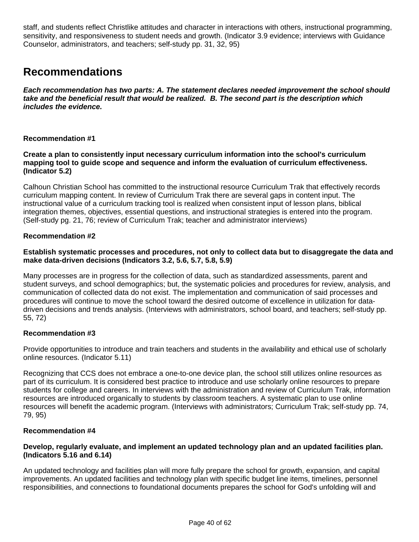staff, and students reflect Christlike attitudes and character in interactions with others, instructional programming, sensitivity, and responsiveness to student needs and growth. (Indicator 3.9 evidence; interviews with Guidance Counselor, administrators, and teachers; self-study pp. 31, 32, 95)

### **Recommendations**

**Each recommendation has two parts: A. The statement declares needed improvement the school should take and the beneficial result that would be realized. B. The second part is the description which includes the evidence.**

#### **Recommendation #1**

**Create a plan to consistently input necessary curriculum information into the school's curriculum mapping tool to guide scope and sequence and inform the evaluation of curriculum effectiveness. (Indicator 5.2)**

Calhoun Christian School has committed to the instructional resource Curriculum Trak that effectively records curriculum mapping content. In review of Curriculum Trak there are several gaps in content input. The instructional value of a curriculum tracking tool is realized when consistent input of lesson plans, biblical integration themes, objectives, essential questions, and instructional strategies is entered into the program. (Self-study pg. 21, 76; review of Curriculum Trak; teacher and administrator interviews)

#### **Recommendation #2**

#### **Establish systematic processes and procedures, not only to collect data but to disaggregate the data and make data-driven decisions (Indicators 3.2, 5.6, 5.7, 5.8, 5.9)**

Many processes are in progress for the collection of data, such as standardized assessments, parent and student surveys, and school demographics; but, the systematic policies and procedures for review, analysis, and communication of collected data do not exist. The implementation and communication of said processes and procedures will continue to move the school toward the desired outcome of excellence in utilization for datadriven decisions and trends analysis. (Interviews with administrators, school board, and teachers; self-study pp. 55, 72)

#### **Recommendation #3**

Provide opportunities to introduce and train teachers and students in the availability and ethical use of scholarly online resources. (Indicator 5.11)

Recognizing that CCS does not embrace a one-to-one device plan, the school still utilizes online resources as part of its curriculum. It is considered best practice to introduce and use scholarly online resources to prepare students for college and careers. In interviews with the administration and review of Curriculum Trak, information resources are introduced organically to students by classroom teachers. A systematic plan to use online resources will benefit the academic program. (Interviews with administrators; Curriculum Trak; self-study pp. 74, 79, 95)

#### **Recommendation #4**

#### **Develop, regularly evaluate, and implement an updated technology plan and an updated facilities plan. (Indicators 5.16 and 6.14)**

An updated technology and facilities plan will more fully prepare the school for growth, expansion, and capital improvements. An updated facilities and technology plan with specific budget line items, timelines, personnel responsibilities, and connections to foundational documents prepares the school for God's unfolding will and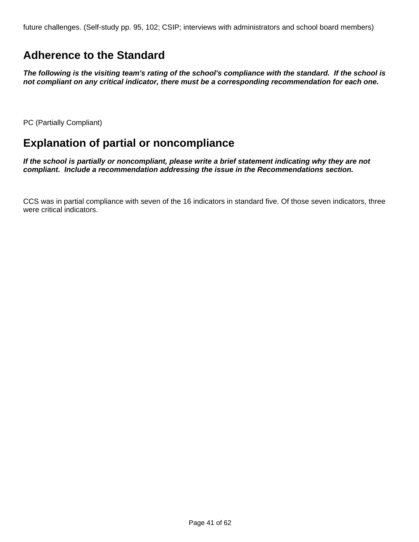future challenges. (Self-study pp. 95, 102; CSIP; interviews with administrators and school board members)

## **Adherence to the Standard**

**The following is the visiting team's rating of the school's compliance with the standard. If the school is not compliant on any critical indicator, there must be a corresponding recommendation for each one.**

PC (Partially Compliant)

# **Explanation of partial or noncompliance**

**If the school is partially or noncompliant, please write a brief statement indicating why they are not compliant. Include a recommendation addressing the issue in the Recommendations section.**

CCS was in partial compliance with seven of the 16 indicators in standard five. Of those seven indicators, three were critical indicators.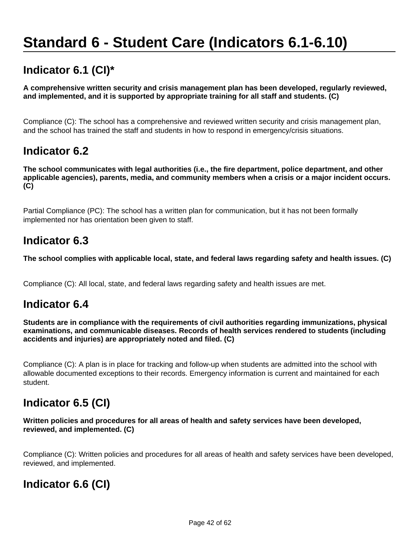# **Standard 6 - Student Care (Indicators 6.1-6.10)**

# **Indicator 6.1 (CI)\***

**A comprehensive written security and crisis management plan has been developed, regularly reviewed, and implemented, and it is supported by appropriate training for all staff and students. (C)**

Compliance (C): The school has a comprehensive and reviewed written security and crisis management plan, and the school has trained the staff and students in how to respond in emergency/crisis situations.

### **Indicator 6.2**

**The school communicates with legal authorities (i.e., the fire department, police department, and other applicable agencies), parents, media, and community members when a crisis or a major incident occurs. (C)**

Partial Compliance (PC): The school has a written plan for communication, but it has not been formally implemented nor has orientation been given to staff.

### **Indicator 6.3**

**The school complies with applicable local, state, and federal laws regarding safety and health issues. (C)**

Compliance (C): All local, state, and federal laws regarding safety and health issues are met.

### **Indicator 6.4**

**Students are in compliance with the requirements of civil authorities regarding immunizations, physical examinations, and communicable diseases. Records of health services rendered to students (including accidents and injuries) are appropriately noted and filed. (C)**

Compliance (C): A plan is in place for tracking and follow-up when students are admitted into the school with allowable documented exceptions to their records. Emergency information is current and maintained for each student.

# **Indicator 6.5 (CI)**

#### **Written policies and procedures for all areas of health and safety services have been developed, reviewed, and implemented. (C)**

Compliance (C): Written policies and procedures for all areas of health and safety services have been developed, reviewed, and implemented.

# **Indicator 6.6 (CI)**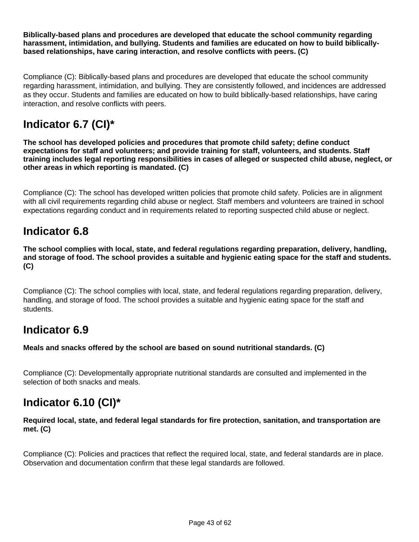**Biblically-based plans and procedures are developed that educate the school community regarding harassment, intimidation, and bullying. Students and families are educated on how to build biblicallybased relationships, have caring interaction, and resolve conflicts with peers. (C)**

Compliance (C): Biblically-based plans and procedures are developed that educate the school community regarding harassment, intimidation, and bullying. They are consistently followed, and incidences are addressed as they occur. Students and families are educated on how to build biblically-based relationships, have caring interaction, and resolve conflicts with peers.

# **Indicator 6.7 (CI)\***

**The school has developed policies and procedures that promote child safety; define conduct expectations for staff and volunteers; and provide training for staff, volunteers, and students. Staff training includes legal reporting responsibilities in cases of alleged or suspected child abuse, neglect, or other areas in which reporting is mandated. (C)**

Compliance (C): The school has developed written policies that promote child safety. Policies are in alignment with all civil requirements regarding child abuse or neglect. Staff members and volunteers are trained in school expectations regarding conduct and in requirements related to reporting suspected child abuse or neglect.

### **Indicator 6.8**

**The school complies with local, state, and federal regulations regarding preparation, delivery, handling, and storage of food. The school provides a suitable and hygienic eating space for the staff and students. (C)**

Compliance (C): The school complies with local, state, and federal regulations regarding preparation, delivery, handling, and storage of food. The school provides a suitable and hygienic eating space for the staff and students.

### **Indicator 6.9**

**Meals and snacks offered by the school are based on sound nutritional standards. (C)**

Compliance (C): Developmentally appropriate nutritional standards are consulted and implemented in the selection of both snacks and meals.

# **Indicator 6.10 (CI)\***

**Required local, state, and federal legal standards for fire protection, sanitation, and transportation are met. (C)**

Compliance (C): Policies and practices that reflect the required local, state, and federal standards are in place. Observation and documentation confirm that these legal standards are followed.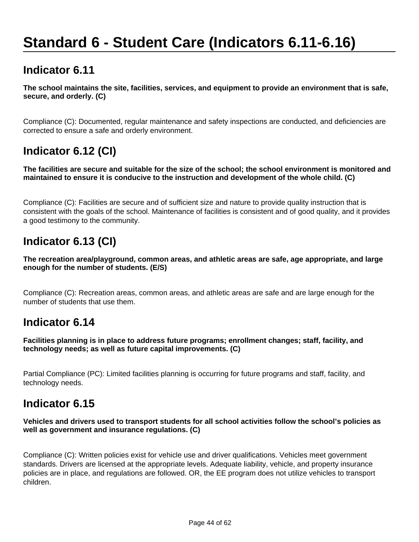# **Standard 6 - Student Care (Indicators 6.11-6.16)**

### **Indicator 6.11**

**The school maintains the site, facilities, services, and equipment to provide an environment that is safe, secure, and orderly. (C)**

Compliance (C): Documented, regular maintenance and safety inspections are conducted, and deficiencies are corrected to ensure a safe and orderly environment.

# **Indicator 6.12 (CI)**

**The facilities are secure and suitable for the size of the school; the school environment is monitored and maintained to ensure it is conducive to the instruction and development of the whole child. (C)**

Compliance (C): Facilities are secure and of sufficient size and nature to provide quality instruction that is consistent with the goals of the school. Maintenance of facilities is consistent and of good quality, and it provides a good testimony to the community.

# **Indicator 6.13 (CI)**

**The recreation area/playground, common areas, and athletic areas are safe, age appropriate, and large enough for the number of students. (E/S)**

Compliance (C): Recreation areas, common areas, and athletic areas are safe and are large enough for the number of students that use them.

### **Indicator 6.14**

**Facilities planning is in place to address future programs; enrollment changes; staff, facility, and technology needs; as well as future capital improvements. (C)**

Partial Compliance (PC): Limited facilities planning is occurring for future programs and staff, facility, and technology needs.

### **Indicator 6.15**

#### **Vehicles and drivers used to transport students for all school activities follow the school's policies as well as government and insurance regulations. (C)**

Compliance (C): Written policies exist for vehicle use and driver qualifications. Vehicles meet government standards. Drivers are licensed at the appropriate levels. Adequate liability, vehicle, and property insurance policies are in place, and regulations are followed. OR, the EE program does not utilize vehicles to transport children.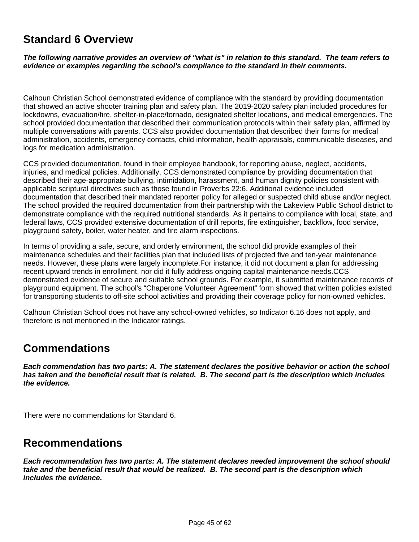### **Standard 6 Overview**

**The following narrative provides an overview of "what is" in relation to this standard. The team refers to evidence or examples regarding the school's compliance to the standard in their comments.** 

Calhoun Christian School demonstrated evidence of compliance with the standard by providing documentation that showed an active shooter training plan and safety plan. The 2019-2020 safety plan included procedures for lockdowns, evacuation/fire, shelter-in-place/tornado, designated shelter locations, and medical emergencies. The school provided documentation that described their communication protocols within their safety plan, affirmed by multiple conversations with parents. CCS also provided documentation that described their forms for medical administration, accidents, emergency contacts, child information, health appraisals, communicable diseases, and logs for medication administration.

CCS provided documentation, found in their employee handbook, for reporting abuse, neglect, accidents, injuries, and medical policies. Additionally, CCS demonstrated compliance by providing documentation that described their age-appropriate bullying, intimidation, harassment, and human dignity policies consistent with applicable scriptural directives such as those found in Proverbs 22:6. Additional evidence included documentation that described their mandated reporter policy for alleged or suspected child abuse and/or neglect. The school provided the required documentation from their partnership with the Lakeview Public School district to demonstrate compliance with the required nutritional standards. As it pertains to compliance with local, state, and federal laws, CCS provided extensive documentation of drill reports, fire extinguisher, backflow, food service, playground safety, boiler, water heater, and fire alarm inspections.

In terms of providing a safe, secure, and orderly environment, the school did provide examples of their maintenance schedules and their facilities plan that included lists of projected five and ten-year maintenance needs. However, these plans were largely incomplete.For instance, it did not document a plan for addressing recent upward trends in enrollment, nor did it fully address ongoing capital maintenance needs.CCS demonstrated evidence of secure and suitable school grounds. For example, it submitted maintenance records of playground equipment. The school's "Chaperone Volunteer Agreement" form showed that written policies existed for transporting students to off-site school activities and providing their coverage policy for non-owned vehicles.

Calhoun Christian School does not have any school-owned vehicles, so Indicator 6.16 does not apply, and therefore is not mentioned in the Indicator ratings.

### **Commendations**

**Each commendation has two parts: A. The statement declares the positive behavior or action the school has taken and the beneficial result that is related. B. The second part is the description which includes the evidence.**

There were no commendations for Standard 6.

### **Recommendations**

**Each recommendation has two parts: A. The statement declares needed improvement the school should take and the beneficial result that would be realized. B. The second part is the description which includes the evidence.**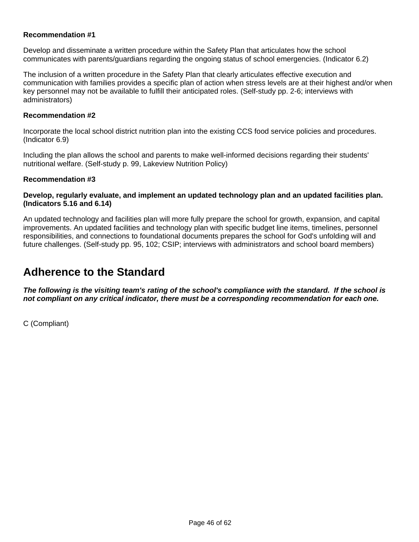#### **Recommendation #1**

Develop and disseminate a written procedure within the Safety Plan that articulates how the school communicates with parents/guardians regarding the ongoing status of school emergencies. (Indicator 6.2)

The inclusion of a written procedure in the Safety Plan that clearly articulates effective execution and communication with families provides a specific plan of action when stress levels are at their highest and/or when key personnel may not be available to fulfill their anticipated roles. (Self-study pp. 2-6; interviews with administrators)

#### **Recommendation #2**

Incorporate the local school district nutrition plan into the existing CCS food service policies and procedures. (Indicator 6.9)

Including the plan allows the school and parents to make well-informed decisions regarding their students' nutritional welfare. (Self-study p. 99, Lakeview Nutrition Policy)

#### **Recommendation #3**

#### **Develop, regularly evaluate, and implement an updated technology plan and an updated facilities plan. (Indicators 5.16 and 6.14)**

An updated technology and facilities plan will more fully prepare the school for growth, expansion, and capital improvements. An updated facilities and technology plan with specific budget line items, timelines, personnel responsibilities, and connections to foundational documents prepares the school for God's unfolding will and future challenges. (Self-study pp. 95, 102; CSIP; interviews with administrators and school board members)

### **Adherence to the Standard**

**The following is the visiting team's rating of the school's compliance with the standard. If the school is not compliant on any critical indicator, there must be a corresponding recommendation for each one.**

C (Compliant)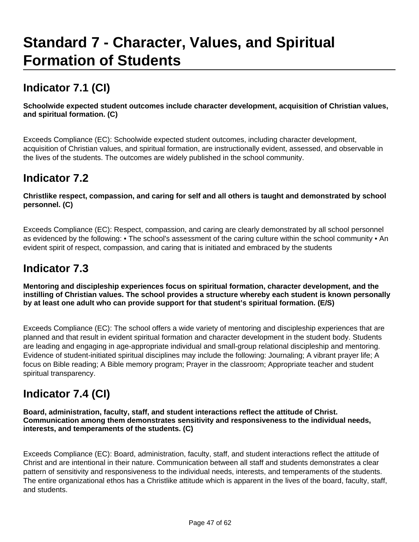# **Standard 7 - Character, Values, and Spiritual Formation of Students**

# **Indicator 7.1 (CI)**

**Schoolwide expected student outcomes include character development, acquisition of Christian values, and spiritual formation. (C)**

Exceeds Compliance (EC): Schoolwide expected student outcomes, including character development, acquisition of Christian values, and spiritual formation, are instructionally evident, assessed, and observable in the lives of the students. The outcomes are widely published in the school community.

## **Indicator 7.2**

**Christlike respect, compassion, and caring for self and all others is taught and demonstrated by school personnel. (C)**

Exceeds Compliance (EC): Respect, compassion, and caring are clearly demonstrated by all school personnel as evidenced by the following: • The school's assessment of the caring culture within the school community • An evident spirit of respect, compassion, and caring that is initiated and embraced by the students

# **Indicator 7.3**

**Mentoring and discipleship experiences focus on spiritual formation, character development, and the instilling of Christian values. The school provides a structure whereby each student is known personally by at least one adult who can provide support for that student's spiritual formation. (E/S)**

Exceeds Compliance (EC): The school offers a wide variety of mentoring and discipleship experiences that are planned and that result in evident spiritual formation and character development in the student body. Students are leading and engaging in age-appropriate individual and small-group relational discipleship and mentoring. Evidence of student-initiated spiritual disciplines may include the following: Journaling; A vibrant prayer life; A focus on Bible reading; A Bible memory program; Prayer in the classroom; Appropriate teacher and student spiritual transparency.

# **Indicator 7.4 (CI)**

**Board, administration, faculty, staff, and student interactions reflect the attitude of Christ. Communication among them demonstrates sensitivity and responsiveness to the individual needs, interests, and temperaments of the students. (C)**

Exceeds Compliance (EC): Board, administration, faculty, staff, and student interactions reflect the attitude of Christ and are intentional in their nature. Communication between all staff and students demonstrates a clear pattern of sensitivity and responsiveness to the individual needs, interests, and temperaments of the students. The entire organizational ethos has a Christlike attitude which is apparent in the lives of the board, faculty, staff, and students.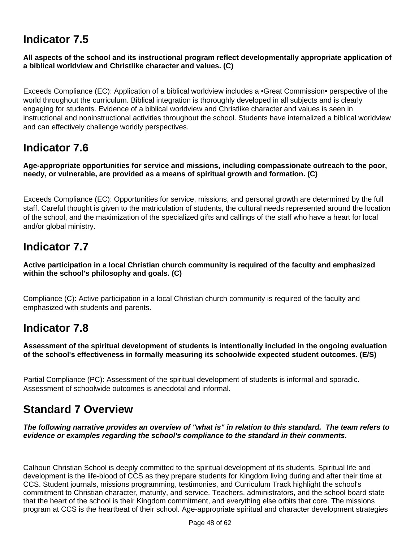# **Indicator 7.5**

#### **All aspects of the school and its instructional program reflect developmentally appropriate application of a biblical worldview and Christlike character and values. (C)**

Exceeds Compliance (EC): Application of a biblical worldview includes a •Great Commission• perspective of the world throughout the curriculum. Biblical integration is thoroughly developed in all subjects and is clearly engaging for students. Evidence of a biblical worldview and Christlike character and values is seen in instructional and noninstructional activities throughout the school. Students have internalized a biblical worldview and can effectively challenge worldly perspectives.

## **Indicator 7.6**

**Age-appropriate opportunities for service and missions, including compassionate outreach to the poor, needy, or vulnerable, are provided as a means of spiritual growth and formation. (C)**

Exceeds Compliance (EC): Opportunities for service, missions, and personal growth are determined by the full staff. Careful thought is given to the matriculation of students, the cultural needs represented around the location of the school, and the maximization of the specialized gifts and callings of the staff who have a heart for local and/or global ministry.

# **Indicator 7.7**

**Active participation in a local Christian church community is required of the faculty and emphasized within the school's philosophy and goals. (C)**

Compliance (C): Active participation in a local Christian church community is required of the faculty and emphasized with students and parents.

### **Indicator 7.8**

**Assessment of the spiritual development of students is intentionally included in the ongoing evaluation of the school's effectiveness in formally measuring its schoolwide expected student outcomes. (E/S)**

Partial Compliance (PC): Assessment of the spiritual development of students is informal and sporadic. Assessment of schoolwide outcomes is anecdotal and informal.

## **Standard 7 Overview**

**The following narrative provides an overview of "what is" in relation to this standard. The team refers to evidence or examples regarding the school's compliance to the standard in their comments.** 

Calhoun Christian School is deeply committed to the spiritual development of its students. Spiritual life and development is the life-blood of CCS as they prepare students for Kingdom living during and after their time at CCS. Student journals, missions programming, testimonies, and Curriculum Track highlight the school's commitment to Christian character, maturity, and service. Teachers, administrators, and the school board state that the heart of the school is their Kingdom commitment, and everything else orbits that core. The missions program at CCS is the heartbeat of their school. Age-appropriate spiritual and character development strategies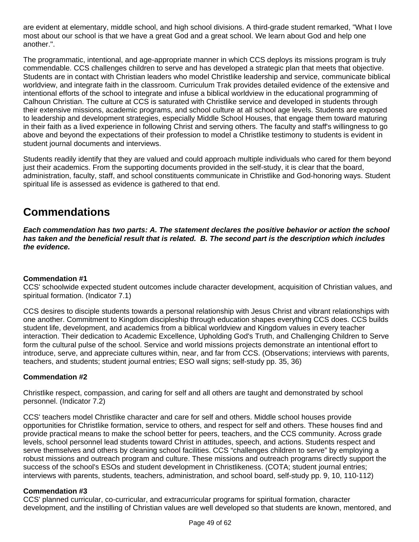are evident at elementary, middle school, and high school divisions. A third-grade student remarked, "What I love most about our school is that we have a great God and a great school. We learn about God and help one another.".

The programmatic, intentional, and age-appropriate manner in which CCS deploys its missions program is truly commendable. CCS challenges children to serve and has developed a strategic plan that meets that objective. Students are in contact with Christian leaders who model Christlike leadership and service, communicate biblical worldview, and integrate faith in the classroom. Curriculum Trak provides detailed evidence of the extensive and intentional efforts of the school to integrate and infuse a biblical worldview in the educational programming of Calhoun Christian. The culture at CCS is saturated with Christlike service and developed in students through their extensive missions, academic programs, and school culture at all school age levels. Students are exposed to leadership and development strategies, especially Middle School Houses, that engage them toward maturing in their faith as a lived experience in following Christ and serving others. The faculty and staff's willingness to go above and beyond the expectations of their profession to model a Christlike testimony to students is evident in student journal documents and interviews.

Students readily identify that they are valued and could approach multiple individuals who cared for them beyond just their academics. From the supporting documents provided in the self-study, it is clear that the board, administration, faculty, staff, and school constituents communicate in Christlike and God-honoring ways. Student spiritual life is assessed as evidence is gathered to that end.

# **Commendations**

**Each commendation has two parts: A. The statement declares the positive behavior or action the school has taken and the beneficial result that is related. B. The second part is the description which includes the evidence.**

#### **Commendation #1**

CCS' schoolwide expected student outcomes include character development, acquisition of Christian values, and spiritual formation. (Indicator 7.1)

CCS desires to disciple students towards a personal relationship with Jesus Christ and vibrant relationships with one another. Commitment to Kingdom discipleship through education shapes everything CCS does. CCS builds student life, development, and academics from a biblical worldview and Kingdom values in every teacher interaction. Their dedication to Academic Excellence, Upholding God's Truth, and Challenging Children to Serve form the cultural pulse of the school. Service and world missions projects demonstrate an intentional effort to introduce, serve, and appreciate cultures within, near, and far from CCS. (Observations; interviews with parents, teachers, and students; student journal entries; ESO wall signs; self-study pp. 35, 36)

#### **Commendation #2**

Christlike respect, compassion, and caring for self and all others are taught and demonstrated by school personnel. (Indicator 7.2)

CCS' teachers model Christlike character and care for self and others. Middle school houses provide opportunities for Christlike formation, service to others, and respect for self and others. These houses find and provide practical means to make the school better for peers, teachers, and the CCS community. Across grade levels, school personnel lead students toward Christ in attitudes, speech, and actions. Students respect and serve themselves and others by cleaning school facilities. CCS "challenges children to serve" by employing a robust missions and outreach program and culture. These missions and outreach programs directly support the success of the school's ESOs and student development in Christlikeness. (COTA; student journal entries; interviews with parents, students, teachers, administration, and school board, self-study pp. 9, 10, 110-112)

#### **Commendation #3**

CCS' planned curricular, co-curricular, and extracurricular programs for spiritual formation, character development, and the instilling of Christian values are well developed so that students are known, mentored, and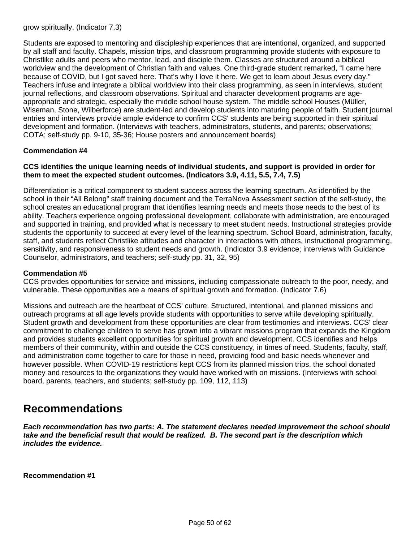grow spiritually. (Indicator 7.3)

Students are exposed to mentoring and discipleship experiences that are intentional, organized, and supported by all staff and faculty. Chapels, mission trips, and classroom programming provide students with exposure to Christlike adults and peers who mentor, lead, and disciple them. Classes are structured around a biblical worldview and the development of Christian faith and values. One third-grade student remarked, "I came here because of COVID, but I got saved here. That's why I love it here. We get to learn about Jesus every day." Teachers infuse and integrate a biblical worldview into their class programming, as seen in interviews, student journal reflections, and classroom observations. Spiritual and character development programs are ageappropriate and strategic, especially the middle school house system. The middle school Houses (Müller, Wiseman, Stone, Wilberforce) are student-led and develop students into maturing people of faith. Student journal entries and interviews provide ample evidence to confirm CCS' students are being supported in their spiritual development and formation. (Interviews with teachers, administrators, students, and parents; observations; COTA; self-study pp. 9-10, 35-36; House posters and announcement boards)

#### **Commendation #4**

#### **CCS identifies the unique learning needs of individual students, and support is provided in order for them to meet the expected student outcomes. (Indicators 3.9, 4.11, 5.5, 7.4, 7.5)**

Differentiation is a critical component to student success across the learning spectrum. As identified by the school in their "All Belong" staff training document and the TerraNova Assessment section of the self-study, the school creates an educational program that identifies learning needs and meets those needs to the best of its ability. Teachers experience ongoing professional development, collaborate with administration, are encouraged and supported in training, and provided what is necessary to meet student needs. Instructional strategies provide students the opportunity to succeed at every level of the learning spectrum. School Board, administration, faculty, staff, and students reflect Christlike attitudes and character in interactions with others, instructional programming, sensitivity, and responsiveness to student needs and growth. (Indicator 3.9 evidence; interviews with Guidance Counselor, administrators, and teachers; self-study pp. 31, 32, 95)

#### **Commendation #5**

CCS provides opportunities for service and missions, including compassionate outreach to the poor, needy, and vulnerable. These opportunities are a means of spiritual growth and formation. (Indicator 7.6)

Missions and outreach are the heartbeat of CCS' culture. Structured, intentional, and planned missions and outreach programs at all age levels provide students with opportunities to serve while developing spiritually. Student growth and development from these opportunities are clear from testimonies and interviews. CCS' clear commitment to challenge children to serve has grown into a vibrant missions program that expands the Kingdom and provides students excellent opportunities for spiritual growth and development. CCS identifies and helps members of their community, within and outside the CCS constituency, in times of need. Students, faculty, staff, and administration come together to care for those in need, providing food and basic needs whenever and however possible. When COVID-19 restrictions kept CCS from its planned mission trips, the school donated money and resources to the organizations they would have worked with on missions. (Interviews with school board, parents, teachers, and students; self-study pp. 109, 112, 113)

### **Recommendations**

**Each recommendation has two parts: A. The statement declares needed improvement the school should take and the beneficial result that would be realized. B. The second part is the description which includes the evidence.**

**Recommendation #1**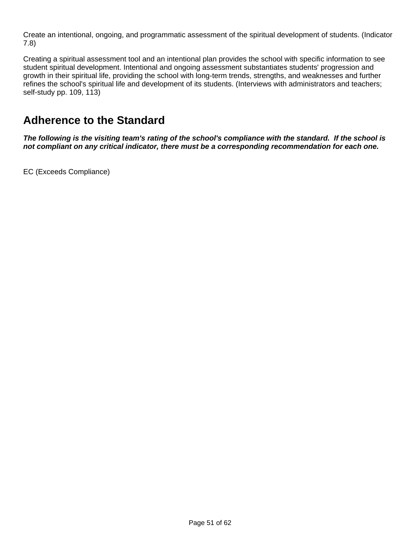Create an intentional, ongoing, and programmatic assessment of the spiritual development of students. (Indicator 7.8)

Creating a spiritual assessment tool and an intentional plan provides the school with specific information to see student spiritual development. Intentional and ongoing assessment substantiates students' progression and growth in their spiritual life, providing the school with long-term trends, strengths, and weaknesses and further refines the school's spiritual life and development of its students. (Interviews with administrators and teachers; self-study pp. 109, 113)

### **Adherence to the Standard**

**The following is the visiting team's rating of the school's compliance with the standard. If the school is not compliant on any critical indicator, there must be a corresponding recommendation for each one.**

EC (Exceeds Compliance)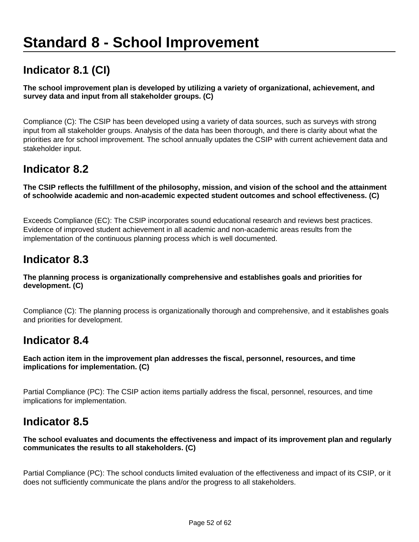# **Standard 8 - School Improvement**

# **Indicator 8.1 (CI)**

#### **The school improvement plan is developed by utilizing a variety of organizational, achievement, and survey data and input from all stakeholder groups. (C)**

Compliance (C): The CSIP has been developed using a variety of data sources, such as surveys with strong input from all stakeholder groups. Analysis of the data has been thorough, and there is clarity about what the priorities are for school improvement. The school annually updates the CSIP with current achievement data and stakeholder input.

### **Indicator 8.2**

**The CSIP reflects the fulfillment of the philosophy, mission, and vision of the school and the attainment of schoolwide academic and non-academic expected student outcomes and school effectiveness. (C)**

Exceeds Compliance (EC): The CSIP incorporates sound educational research and reviews best practices. Evidence of improved student achievement in all academic and non-academic areas results from the implementation of the continuous planning process which is well documented.

### **Indicator 8.3**

#### **The planning process is organizationally comprehensive and establishes goals and priorities for development. (C)**

Compliance (C): The planning process is organizationally thorough and comprehensive, and it establishes goals and priorities for development.

### **Indicator 8.4**

#### **Each action item in the improvement plan addresses the fiscal, personnel, resources, and time implications for implementation. (C)**

Partial Compliance (PC): The CSIP action items partially address the fiscal, personnel, resources, and time implications for implementation.

### **Indicator 8.5**

#### **The school evaluates and documents the effectiveness and impact of its improvement plan and regularly communicates the results to all stakeholders. (C)**

Partial Compliance (PC): The school conducts limited evaluation of the effectiveness and impact of its CSIP, or it does not sufficiently communicate the plans and/or the progress to all stakeholders.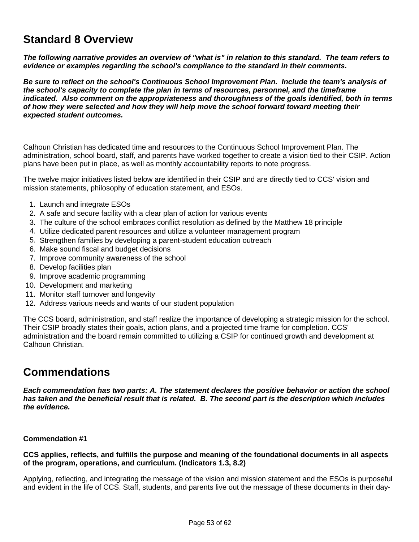## **Standard 8 Overview**

**The following narrative provides an overview of "what is" in relation to this standard. The team refers to evidence or examples regarding the school's compliance to the standard in their comments.** 

**Be sure to reflect on the school's Continuous School Improvement Plan. Include the team's analysis of the school's capacity to complete the plan in terms of resources, personnel, and the timeframe indicated. Also comment on the appropriateness and thoroughness of the goals identified, both in terms of how they were selected and how they will help move the school forward toward meeting their expected student outcomes.** 

Calhoun Christian has dedicated time and resources to the Continuous School Improvement Plan. The administration, school board, staff, and parents have worked together to create a vision tied to their CSIP. Action plans have been put in place, as well as monthly accountability reports to note progress.

The twelve major initiatives listed below are identified in their CSIP and are directly tied to CCS' vision and mission statements, philosophy of education statement, and ESOs.

- 1. Launch and integrate ESOs
- 2. A safe and secure facility with a clear plan of action for various events
- 3. The culture of the school embraces conflict resolution as defined by the Matthew 18 principle
- 4. Utilize dedicated parent resources and utilize a volunteer management program
- 5. Strengthen families by developing a parent-student education outreach
- 6. Make sound fiscal and budget decisions
- 7. Improve community awareness of the school
- 8. Develop facilities plan
- 9. Improve academic programming
- 10. Development and marketing
- 11. Monitor staff turnover and longevity
- 12. Address various needs and wants of our student population

The CCS board, administration, and staff realize the importance of developing a strategic mission for the school. Their CSIP broadly states their goals, action plans, and a projected time frame for completion. CCS' administration and the board remain committed to utilizing a CSIP for continued growth and development at Calhoun Christian.

### **Commendations**

**Each commendation has two parts: A. The statement declares the positive behavior or action the school has taken and the beneficial result that is related. B. The second part is the description which includes the evidence.**

#### **Commendation #1**

#### **CCS applies, reflects, and fulfills the purpose and meaning of the foundational documents in all aspects of the program, operations, and curriculum. (Indicators 1.3, 8.2)**

Applying, reflecting, and integrating the message of the vision and mission statement and the ESOs is purposeful and evident in the life of CCS. Staff, students, and parents live out the message of these documents in their day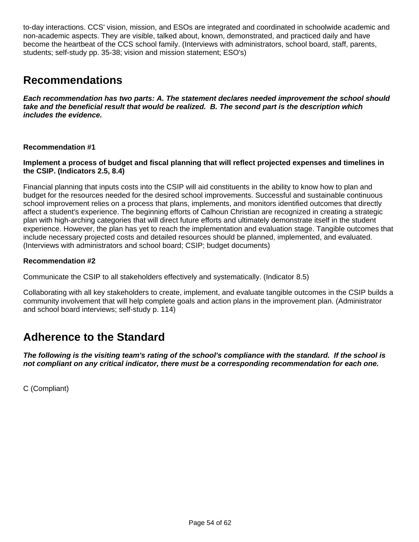to-day interactions. CCS' vision, mission, and ESOs are integrated and coordinated in schoolwide academic and non-academic aspects. They are visible, talked about, known, demonstrated, and practiced daily and have become the heartbeat of the CCS school family. (Interviews with administrators, school board, staff, parents, students; self-study pp. 35-38; vision and mission statement; ESO's)

### **Recommendations**

**Each recommendation has two parts: A. The statement declares needed improvement the school should take and the beneficial result that would be realized. B. The second part is the description which includes the evidence.**

#### **Recommendation #1**

#### **Implement a process of budget and fiscal planning that will reflect projected expenses and timelines in the CSIP. (Indicators 2.5, 8.4)**

Financial planning that inputs costs into the CSIP will aid constituents in the ability to know how to plan and budget for the resources needed for the desired school improvements. Successful and sustainable continuous school improvement relies on a process that plans, implements, and monitors identified outcomes that directly affect a student's experience. The beginning efforts of Calhoun Christian are recognized in creating a strategic plan with high-arching categories that will direct future efforts and ultimately demonstrate itself in the student experience. However, the plan has yet to reach the implementation and evaluation stage. Tangible outcomes that include necessary projected costs and detailed resources should be planned, implemented, and evaluated. (Interviews with administrators and school board; CSIP; budget documents)

#### **Recommendation #2**

Communicate the CSIP to all stakeholders effectively and systematically. (Indicator 8.5)

Collaborating with all key stakeholders to create, implement, and evaluate tangible outcomes in the CSIP builds a community involvement that will help complete goals and action plans in the improvement plan. (Administrator and school board interviews; self-study p. 114)

### **Adherence to the Standard**

**The following is the visiting team's rating of the school's compliance with the standard. If the school is not compliant on any critical indicator, there must be a corresponding recommendation for each one.**

C (Compliant)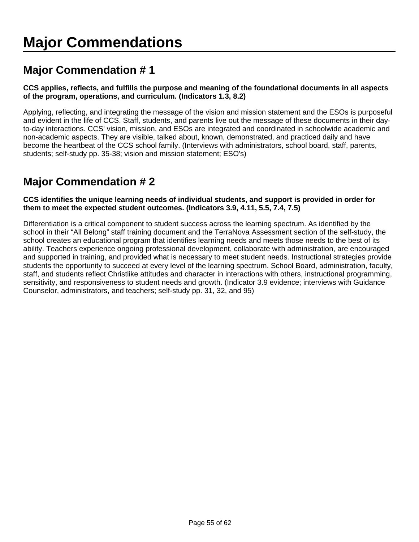# **Major Commendation # 1**

#### **CCS applies, reflects, and fulfills the purpose and meaning of the foundational documents in all aspects of the program, operations, and curriculum. (Indicators 1.3, 8.2)**

Applying, reflecting, and integrating the message of the vision and mission statement and the ESOs is purposeful and evident in the life of CCS. Staff, students, and parents live out the message of these documents in their dayto-day interactions. CCS' vision, mission, and ESOs are integrated and coordinated in schoolwide academic and non-academic aspects. They are visible, talked about, known, demonstrated, and practiced daily and have become the heartbeat of the CCS school family. (Interviews with administrators, school board, staff, parents, students; self-study pp. 35-38; vision and mission statement; ESO's)

# **Major Commendation # 2**

#### **CCS identifies the unique learning needs of individual students, and support is provided in order for them to meet the expected student outcomes. (Indicators 3.9, 4.11, 5.5, 7.4, 7.5)**

Differentiation is a critical component to student success across the learning spectrum. As identified by the school in their "All Belong" staff training document and the TerraNova Assessment section of the self-study, the school creates an educational program that identifies learning needs and meets those needs to the best of its ability. Teachers experience ongoing professional development, collaborate with administration, are encouraged and supported in training, and provided what is necessary to meet student needs. Instructional strategies provide students the opportunity to succeed at every level of the learning spectrum. School Board, administration, faculty, staff, and students reflect Christlike attitudes and character in interactions with others, instructional programming, sensitivity, and responsiveness to student needs and growth. (Indicator 3.9 evidence; interviews with Guidance Counselor, administrators, and teachers; self-study pp. 31, 32, and 95)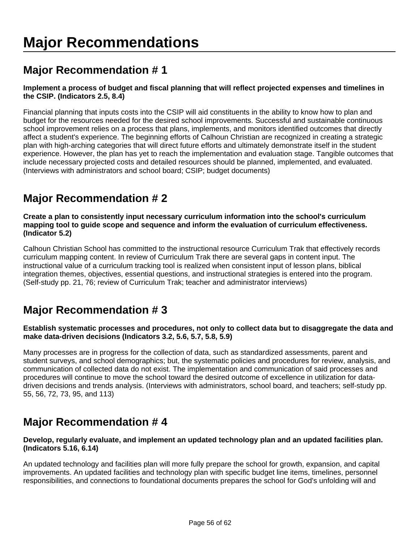# **Major Recommendation # 1**

#### **Implement a process of budget and fiscal planning that will reflect projected expenses and timelines in the CSIP. (Indicators 2.5, 8.4)**

Financial planning that inputs costs into the CSIP will aid constituents in the ability to know how to plan and budget for the resources needed for the desired school improvements. Successful and sustainable continuous school improvement relies on a process that plans, implements, and monitors identified outcomes that directly affect a student's experience. The beginning efforts of Calhoun Christian are recognized in creating a strategic plan with high-arching categories that will direct future efforts and ultimately demonstrate itself in the student experience. However, the plan has yet to reach the implementation and evaluation stage. Tangible outcomes that include necessary projected costs and detailed resources should be planned, implemented, and evaluated. (Interviews with administrators and school board; CSIP; budget documents)

# **Major Recommendation # 2**

**Create a plan to consistently input necessary curriculum information into the school's curriculum mapping tool to guide scope and sequence and inform the evaluation of curriculum effectiveness. (Indicator 5.2)**

Calhoun Christian School has committed to the instructional resource Curriculum Trak that effectively records curriculum mapping content. In review of Curriculum Trak there are several gaps in content input. The instructional value of a curriculum tracking tool is realized when consistent input of lesson plans, biblical integration themes, objectives, essential questions, and instructional strategies is entered into the program. (Self-study pp. 21, 76; review of Curriculum Trak; teacher and administrator interviews)

# **Major Recommendation # 3**

#### **Establish systematic processes and procedures, not only to collect data but to disaggregate the data and make data-driven decisions (Indicators 3.2, 5.6, 5.7, 5.8, 5.9)**

Many processes are in progress for the collection of data, such as standardized assessments, parent and student surveys, and school demographics; but, the systematic policies and procedures for review, analysis, and communication of collected data do not exist. The implementation and communication of said processes and procedures will continue to move the school toward the desired outcome of excellence in utilization for datadriven decisions and trends analysis. (Interviews with administrators, school board, and teachers; self-study pp. 55, 56, 72, 73, 95, and 113)

# **Major Recommendation # 4**

#### **Develop, regularly evaluate, and implement an updated technology plan and an updated facilities plan. (Indicators 5.16, 6.14)**

An updated technology and facilities plan will more fully prepare the school for growth, expansion, and capital improvements. An updated facilities and technology plan with specific budget line items, timelines, personnel responsibilities, and connections to foundational documents prepares the school for God's unfolding will and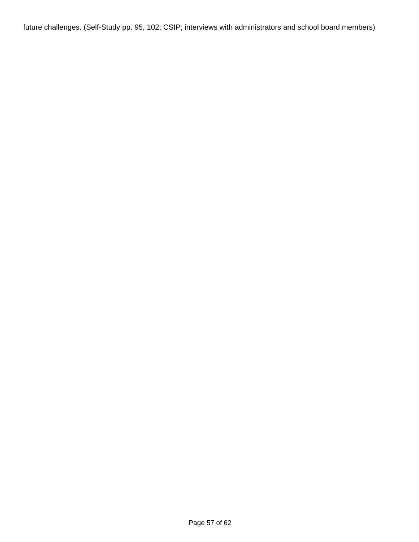future challenges. (Self-Study pp. 95, 102; CSIP; interviews with administrators and school board members)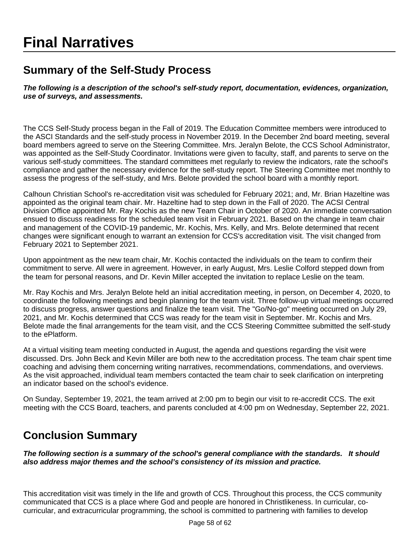# **Final Narratives**

# **Summary of the Self-Study Process**

**The following is a description of the school's self-study report, documentation, evidences, organization, use of surveys, and assessments.**

The CCS Self-Study process began in the Fall of 2019. The Education Committee members were introduced to the ASCI Standards and the self-study process in November 2019. In the December 2nd board meeting, several board members agreed to serve on the Steering Committee. Mrs. Jeralyn Belote, the CCS School Administrator, was appointed as the Self-Study Coordinator. Invitations were given to faculty, staff, and parents to serve on the various self-study committees. The standard committees met regularly to review the indicators, rate the school's compliance and gather the necessary evidence for the self-study report. The Steering Committee met monthly to assess the progress of the self-study, and Mrs. Belote provided the school board with a monthly report.

Calhoun Christian School's re-accreditation visit was scheduled for February 2021; and, Mr. Brian Hazeltine was appointed as the original team chair. Mr. Hazeltine had to step down in the Fall of 2020. The ACSI Central Division Office appointed Mr. Ray Kochis as the new Team Chair in October of 2020. An immediate conversation ensued to discuss readiness for the scheduled team visit in February 2021. Based on the change in team chair and management of the COVID-19 pandemic, Mr. Kochis, Mrs. Kelly, and Mrs. Belote determined that recent changes were significant enough to warrant an extension for CCS's accreditation visit. The visit changed from February 2021 to September 2021.

Upon appointment as the new team chair, Mr. Kochis contacted the individuals on the team to confirm their commitment to serve. All were in agreement. However, in early August, Mrs. Leslie Colford stepped down from the team for personal reasons, and Dr. Kevin Miller accepted the invitation to replace Leslie on the team.

Mr. Ray Kochis and Mrs. Jeralyn Belote held an initial accreditation meeting, in person, on December 4, 2020, to coordinate the following meetings and begin planning for the team visit. Three follow-up virtual meetings occurred to discuss progress, answer questions and finalize the team visit. The "Go/No-go" meeting occurred on July 29, 2021, and Mr. Kochis determined that CCS was ready for the team visit in September. Mr. Kochis and Mrs. Belote made the final arrangements for the team visit, and the CCS Steering Committee submitted the self-study to the ePlatform.

At a virtual visiting team meeting conducted in August, the agenda and questions regarding the visit were discussed. Drs. John Beck and Kevin Miller are both new to the accreditation process. The team chair spent time coaching and advising them concerning writing narratives, recommendations, commendations, and overviews. As the visit approached, individual team members contacted the team chair to seek clarification on interpreting an indicator based on the school's evidence.

On Sunday, September 19, 2021, the team arrived at 2:00 pm to begin our visit to re-accredit CCS. The exit meeting with the CCS Board, teachers, and parents concluded at 4:00 pm on Wednesday, September 22, 2021.

### **Conclusion Summary**

**The following section is a summary of the school's general compliance with the standards. It should also address major themes and the school's consistency of its mission and practice.** 

This accreditation visit was timely in the life and growth of CCS. Throughout this process, the CCS community communicated that CCS is a place where God and people are honored in Christlikeness. In curricular, cocurricular, and extracurricular programming, the school is committed to partnering with families to develop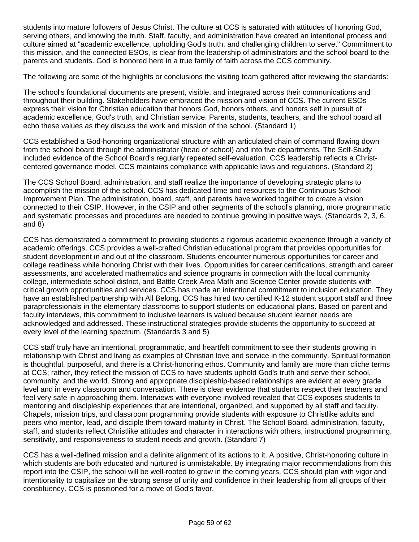students into mature followers of Jesus Christ. The culture at CCS is saturated with attitudes of honoring God, serving others, and knowing the truth. Staff, faculty, and administration have created an intentional process and culture aimed at "academic excellence, upholding God's truth, and challenging children to serve." Commitment to this mission, and the connected ESOs, is clear from the leadership of administrators and the school board to the parents and students. God is honored here in a true family of faith across the CCS community.

The following are some of the highlights or conclusions the visiting team gathered after reviewing the standards:

The school's foundational documents are present, visible, and integrated across their communications and throughout their building. Stakeholders have embraced the mission and vision of CCS. The current ESOs express their vision for Christian education that honors God, honors others, and honors self in pursuit of academic excellence, God's truth, and Christian service. Parents, students, teachers, and the school board all echo these values as they discuss the work and mission of the school. (Standard 1)

CCS established a God-honoring organizational structure with an articulated chain of command flowing down from the school board through the administrator (head of school) and into five departments. The Self-Study included evidence of the School Board's regularly repeated self-evaluation. CCS leadership reflects a Christcentered governance model. CCS maintains compliance with applicable laws and regulations. (Standard 2)

The CCS School Board, administration, and staff realize the importance of developing strategic plans to accomplish the mission of the school. CCS has dedicated time and resources to the Continuous School Improvement Plan. The administration, board, staff, and parents have worked together to create a vision connected to their CSIP. However, in the CSIP and other segments of the school's planning, more programmatic and systematic processes and procedures are needed to continue growing in positive ways. (Standards 2, 3, 6, and 8)

CCS has demonstrated a commitment to providing students a rigorous academic experience through a variety of academic offerings. CCS provides a well-crafted Christian educational program that provides opportunities for student development in and out of the classroom. Students encounter numerous opportunities for career and college readiness while honoring Christ with their lives. Opportunities for career certifications, strength and career assessments, and accelerated mathematics and science programs in connection with the local community college, intermediate school district, and Battle Creek Area Math and Science Center provide students with critical growth opportunities and services. CCS has made an intentional commitment to inclusion education. They have an established partnership with All Belong. CCS has hired two certified K-12 student support staff and three paraprofessionals in the elementary classrooms to support students on educational plans. Based on parent and faculty interviews, this commitment to inclusive learners is valued because student learner needs are acknowledged and addressed. These instructional strategies provide students the opportunity to succeed at every level of the learning spectrum. (Standards 3 and 5)

CCS staff truly have an intentional, programmatic, and heartfelt commitment to see their students growing in relationship with Christ and living as examples of Christian love and service in the community. Spiritual formation is thoughtful, purposeful, and there is a Christ-honoring ethos. Community and family are more than cliche terms at CCS; rather, they reflect the mission of CCS to have students uphold God's truth and serve their school, community, and the world. Strong and appropriate discipleship-based relationships are evident at every grade level and in every classroom and conversation. There is clear evidence that students respect their teachers and feel very safe in approaching them. Interviews with everyone involved revealed that CCS exposes students to mentoring and discipleship experiences that are intentional, organized, and supported by all staff and faculty. Chapels, mission trips, and classroom programming provide students with exposure to Christlike adults and peers who mentor, lead, and disciple them toward maturity in Christ. The School Board, administration, faculty, staff, and students reflect Christlike attitudes and character in interactions with others, instructional programming, sensitivity, and responsiveness to student needs and growth. (Standard 7)

CCS has a well-defined mission and a definite alignment of its actions to it. A positive, Christ-honoring culture in which students are both educated and nurtured is unmistakable. By integrating major recommendations from this report into the CSIP, the school will be well-rooted to grow in the coming years. CCS should plan with vigor and intentionality to capitalize on the strong sense of unity and confidence in their leadership from all groups of their constituency. CCS is positioned for a move of God's favor.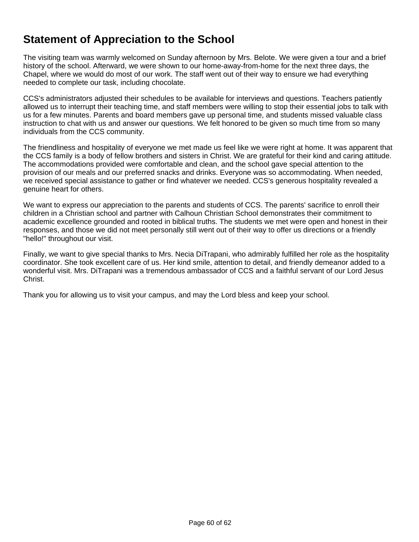# **Statement of Appreciation to the School**

The visiting team was warmly welcomed on Sunday afternoon by Mrs. Belote. We were given a tour and a brief history of the school. Afterward, we were shown to our home-away-from-home for the next three days, the Chapel, where we would do most of our work. The staff went out of their way to ensure we had everything needed to complete our task, including chocolate.

CCS's administrators adjusted their schedules to be available for interviews and questions. Teachers patiently allowed us to interrupt their teaching time, and staff members were willing to stop their essential jobs to talk with us for a few minutes. Parents and board members gave up personal time, and students missed valuable class instruction to chat with us and answer our questions. We felt honored to be given so much time from so many individuals from the CCS community.

The friendliness and hospitality of everyone we met made us feel like we were right at home. It was apparent that the CCS family is a body of fellow brothers and sisters in Christ. We are grateful for their kind and caring attitude. The accommodations provided were comfortable and clean, and the school gave special attention to the provision of our meals and our preferred snacks and drinks. Everyone was so accommodating. When needed, we received special assistance to gather or find whatever we needed. CCS's generous hospitality revealed a genuine heart for others.

We want to express our appreciation to the parents and students of CCS. The parents' sacrifice to enroll their children in a Christian school and partner with Calhoun Christian School demonstrates their commitment to academic excellence grounded and rooted in biblical truths. The students we met were open and honest in their responses, and those we did not meet personally still went out of their way to offer us directions or a friendly "hello!" throughout our visit.

Finally, we want to give special thanks to Mrs. Necia DiTrapani, who admirably fulfilled her role as the hospitality coordinator. She took excellent care of us. Her kind smile, attention to detail, and friendly demeanor added to a wonderful visit. Mrs. DiTrapani was a tremendous ambassador of CCS and a faithful servant of our Lord Jesus Christ.

Thank you for allowing us to visit your campus, and may the Lord bless and keep your school.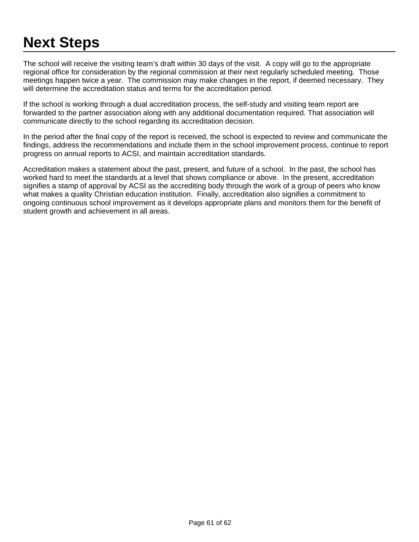# **Next Steps**

The school will receive the visiting team's draft within 30 days of the visit. A copy will go to the appropriate regional office for consideration by the regional commission at their next regularly scheduled meeting. Those meetings happen twice a year. The commission may make changes in the report, if deemed necessary. They will determine the accreditation status and terms for the accreditation period.

If the school is working through a dual accreditation process, the self-study and visiting team report are forwarded to the partner association along with any additional documentation required. That association will communicate directly to the school regarding its accreditation decision.

In the period after the final copy of the report is received, the school is expected to review and communicate the findings, address the recommendations and include them in the school improvement process, continue to report progress on annual reports to ACSI, and maintain accreditation standards.

Accreditation makes a statement about the past, present, and future of a school. In the past, the school has worked hard to meet the standards at a level that shows compliance or above. In the present, accreditation signifies a stamp of approval by ACSI as the accrediting body through the work of a group of peers who know what makes a quality Christian education institution. Finally, accreditation also signifies a commitment to ongoing continuous school improvement as it develops appropriate plans and monitors them for the benefit of student growth and achievement in all areas.